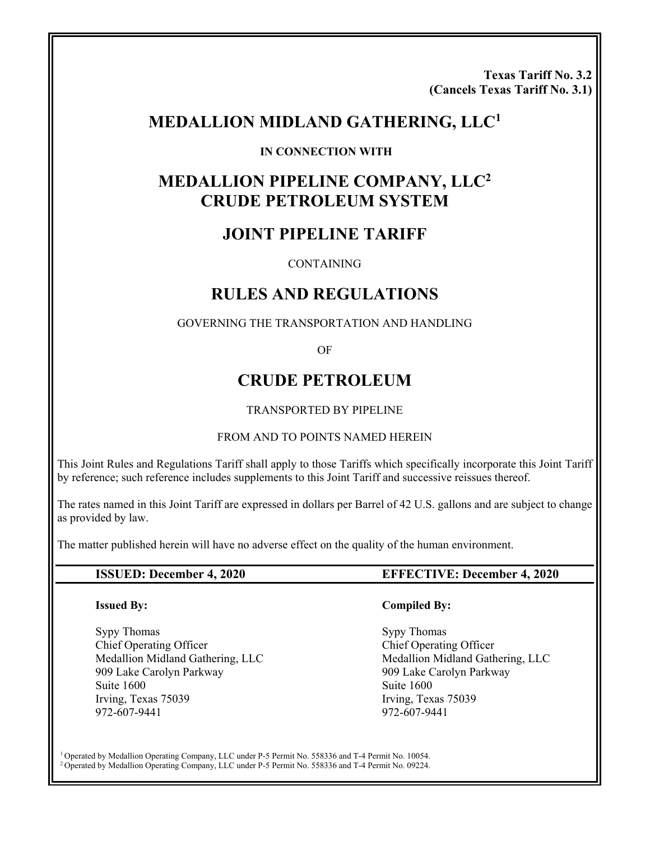**Texas Tariff No. 3.2 (Cancels Texas Tariff No. 3.1)** 

# **MEDALLION MIDLAND GATHERING, LLC1**

#### **IN CONNECTION WITH**

# **MEDALLION PIPELINE COMPANY, LLC2 CRUDE PETROLEUM SYSTEM**

# **JOINT PIPELINE TARIFF**

CONTAINING

# **RULES AND REGULATIONS**

#### GOVERNING THE TRANSPORTATION AND HANDLING

OF

# **CRUDE PETROLEUM**

#### TRANSPORTED BY PIPELINE

#### FROM AND TO POINTS NAMED HEREIN

This Joint Rules and Regulations Tariff shall apply to those Tariffs which specifically incorporate this Joint Tariff by reference; such reference includes supplements to this Joint Tariff and successive reissues thereof.

The rates named in this Joint Tariff are expressed in dollars per Barrel of 42 U.S. gallons and are subject to change as provided by law.

The matter published herein will have no adverse effect on the quality of the human environment.

#### **Issued By:**

Sypy Thomas Chief Operating Officer Medallion Midland Gathering, LLC 909 Lake Carolyn Parkway Suite 1600 Irving, Texas 75039 972-607-9441

#### **ISSUED: December 4, 2020 EFFECTIVE: December 4, 2020**

#### **Compiled By:**

 Sypy Thomas Chief Operating Officer Medallion Midland Gathering, LLC 909 Lake Carolyn Parkway Suite 1600 Irving, Texas 75039 972-607-9441

1 Operated by Medallion Operating Company, LLC under P-5 Permit No. 558336 and T-4 Permit No. 10054. 2 Operated by Medallion Operating Company, LLC under P-5 Permit No. 558336 and T-4 Permit No. 09224.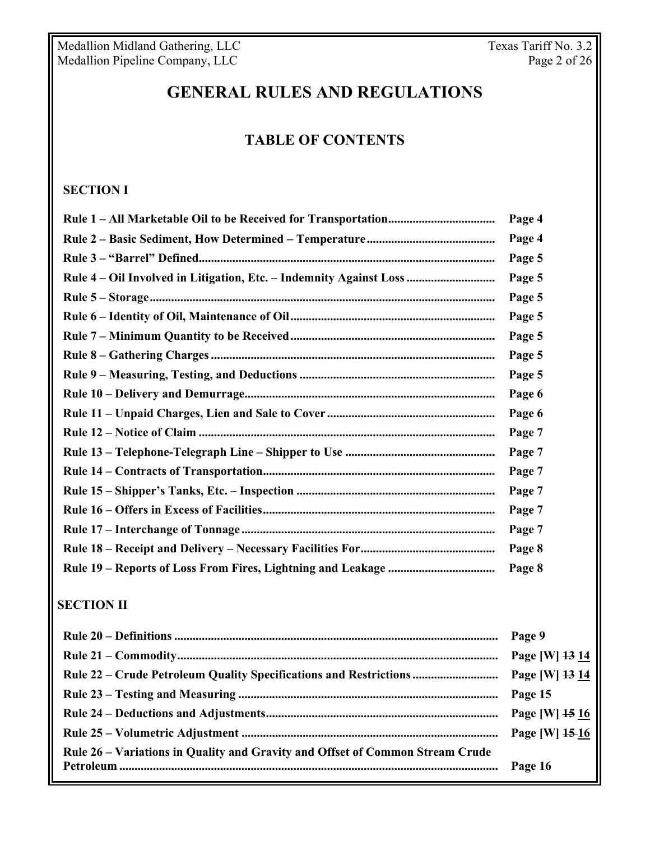# **GENERAL RULES AND REGULATIONS**

# **TABLE OF CONTENTS**

**Rule 1 – All Marketable Oil to be Received for Transportation ................................... Page 4** 

# **SECTION I**

|                                                                               | Page 4         |
|-------------------------------------------------------------------------------|----------------|
|                                                                               | Page 5         |
| Rule 4 – Oil Involved in Litigation, Etc. – Indemnity Against Loss            | Page 5         |
|                                                                               | Page 5         |
|                                                                               | Page 5         |
|                                                                               | Page 5         |
|                                                                               | Page 5         |
|                                                                               | Page 5         |
|                                                                               | Page 6         |
|                                                                               | Page 6         |
|                                                                               | Page 7         |
|                                                                               | Page 7         |
|                                                                               | Page 7         |
|                                                                               | Page 7         |
|                                                                               | Page 7         |
|                                                                               | Page 7         |
|                                                                               | Page 8         |
|                                                                               | Page 8         |
| <b>SECTION II</b>                                                             |                |
|                                                                               | Page 9         |
|                                                                               | Page [W] 13 14 |
| Rule 22 – Crude Petroleum Quality Specifications and Restrictions             | Page [W] 13 14 |
|                                                                               | Page 15        |
|                                                                               | Page [W] 15 16 |
|                                                                               | Page [W] 15 16 |
| Rule 26 - Variations in Quality and Gravity and Offset of Common Stream Crude |                |
|                                                                               | Page 16        |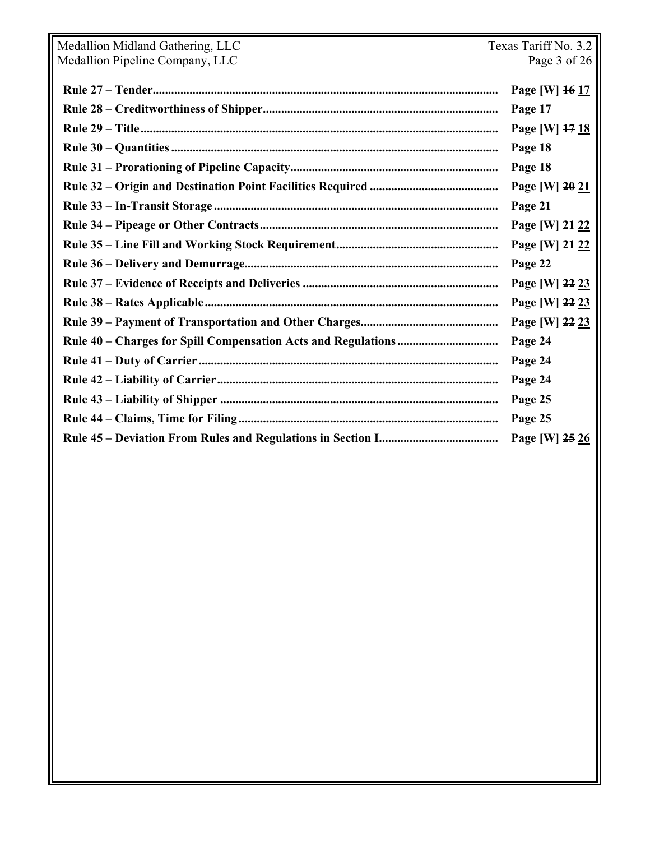| Medallion Midland Gathering, LLC | Texas Tariff No. 3.2 |  |
|----------------------------------|----------------------|--|
| Medallion Pipeline Company, LLC  | Page 3 of 26         |  |
|                                  | Page [W] 16 17       |  |
|                                  | Page 17              |  |
|                                  | Page [W] 17 18       |  |
|                                  | Page 18              |  |
|                                  | Page 18              |  |
|                                  | Page [W] 20 21       |  |
|                                  | Page 21              |  |
|                                  | Page [W] 21 22       |  |
|                                  | Page [W] 21 22       |  |
|                                  | Page 22              |  |
|                                  | Page [W] 22 23       |  |
|                                  | Page [W] 22 23       |  |
|                                  | Page [W] 22 23       |  |
|                                  | Page 24              |  |
|                                  | Page 24              |  |
|                                  | Page 24              |  |
|                                  | Page 25              |  |
|                                  | Page 25              |  |
|                                  | Page [W] 25 26       |  |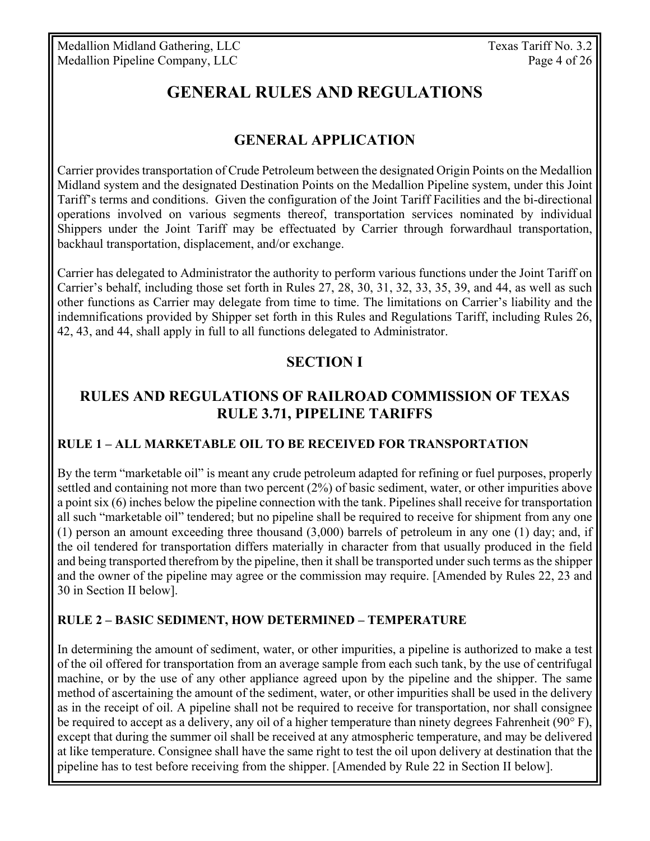# **GENERAL RULES AND REGULATIONS**

# **GENERAL APPLICATION**

Carrier provides transportation of Crude Petroleum between the designated Origin Points on the Medallion Midland system and the designated Destination Points on the Medallion Pipeline system, under this Joint Tariff's terms and conditions. Given the configuration of the Joint Tariff Facilities and the bi-directional operations involved on various segments thereof, transportation services nominated by individual Shippers under the Joint Tariff may be effectuated by Carrier through forwardhaul transportation, backhaul transportation, displacement, and/or exchange.

Carrier has delegated to Administrator the authority to perform various functions under the Joint Tariff on Carrier's behalf, including those set forth in Rules 27, 28, 30, 31, 32, 33, 35, 39, and 44, as well as such other functions as Carrier may delegate from time to time. The limitations on Carrier's liability and the indemnifications provided by Shipper set forth in this Rules and Regulations Tariff, including Rules 26, 42, 43, and 44, shall apply in full to all functions delegated to Administrator.

# **SECTION I**

# **RULES AND REGULATIONS OF RAILROAD COMMISSION OF TEXAS RULE 3.71, PIPELINE TARIFFS**

#### **RULE 1 – ALL MARKETABLE OIL TO BE RECEIVED FOR TRANSPORTATION**

By the term "marketable oil" is meant any crude petroleum adapted for refining or fuel purposes, properly settled and containing not more than two percent  $(2%)$  of basic sediment, water, or other impurities above a point six (6) inches below the pipeline connection with the tank. Pipelines shall receive for transportation all such "marketable oil" tendered; but no pipeline shall be required to receive for shipment from any one (1) person an amount exceeding three thousand (3,000) barrels of petroleum in any one (1) day; and, if the oil tendered for transportation differs materially in character from that usually produced in the field and being transported therefrom by the pipeline, then it shall be transported under such terms as the shipper and the owner of the pipeline may agree or the commission may require. [Amended by Rules 22, 23 and 30 in Section II below].

#### **RULE 2 – BASIC SEDIMENT, HOW DETERMINED – TEMPERATURE**

In determining the amount of sediment, water, or other impurities, a pipeline is authorized to make a test of the oil offered for transportation from an average sample from each such tank, by the use of centrifugal machine, or by the use of any other appliance agreed upon by the pipeline and the shipper. The same method of ascertaining the amount of the sediment, water, or other impurities shall be used in the delivery as in the receipt of oil. A pipeline shall not be required to receive for transportation, nor shall consignee be required to accept as a delivery, any oil of a higher temperature than ninety degrees Fahrenheit (90 $\degree$ F), except that during the summer oil shall be received at any atmospheric temperature, and may be delivered at like temperature. Consignee shall have the same right to test the oil upon delivery at destination that the pipeline has to test before receiving from the shipper. [Amended by Rule 22 in Section II below].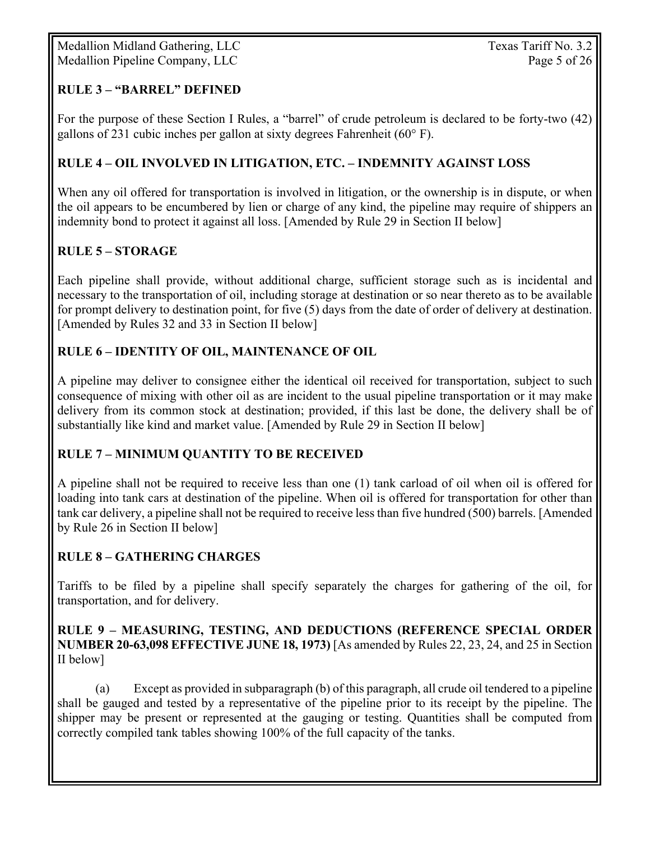#### **RULE 3 – "BARREL" DEFINED**

For the purpose of these Section I Rules, a "barrel" of crude petroleum is declared to be forty-two (42) gallons of 231 cubic inches per gallon at sixty degrees Fahrenheit ( $60^{\circ}$  F).

#### **RULE 4 – OIL INVOLVED IN LITIGATION, ETC. – INDEMNITY AGAINST LOSS**

When any oil offered for transportation is involved in litigation, or the ownership is in dispute, or when the oil appears to be encumbered by lien or charge of any kind, the pipeline may require of shippers an indemnity bond to protect it against all loss. [Amended by Rule 29 in Section II below]

#### **RULE 5 – STORAGE**

Each pipeline shall provide, without additional charge, sufficient storage such as is incidental and necessary to the transportation of oil, including storage at destination or so near thereto as to be available for prompt delivery to destination point, for five (5) days from the date of order of delivery at destination. [Amended by Rules 32 and 33 in Section II below]

#### **RULE 6 – IDENTITY OF OIL, MAINTENANCE OF OIL**

A pipeline may deliver to consignee either the identical oil received for transportation, subject to such consequence of mixing with other oil as are incident to the usual pipeline transportation or it may make delivery from its common stock at destination; provided, if this last be done, the delivery shall be of substantially like kind and market value. [Amended by Rule 29 in Section II below]

#### **RULE 7 – MINIMUM QUANTITY TO BE RECEIVED**

A pipeline shall not be required to receive less than one (1) tank carload of oil when oil is offered for loading into tank cars at destination of the pipeline. When oil is offered for transportation for other than tank car delivery, a pipeline shall not be required to receive less than five hundred (500) barrels. [Amended by Rule 26 in Section II below]

### **RULE 8 – GATHERING CHARGES**

Tariffs to be filed by a pipeline shall specify separately the charges for gathering of the oil, for transportation, and for delivery.

#### **RULE 9 – MEASURING, TESTING, AND DEDUCTIONS (REFERENCE SPECIAL ORDER NUMBER 20-63,098 EFFECTIVE JUNE 18, 1973)** [As amended by Rules 22, 23, 24, and 25 in Section II below]

(a) Except as provided in subparagraph (b) of this paragraph, all crude oil tendered to a pipeline shall be gauged and tested by a representative of the pipeline prior to its receipt by the pipeline. The shipper may be present or represented at the gauging or testing. Quantities shall be computed from correctly compiled tank tables showing 100% of the full capacity of the tanks.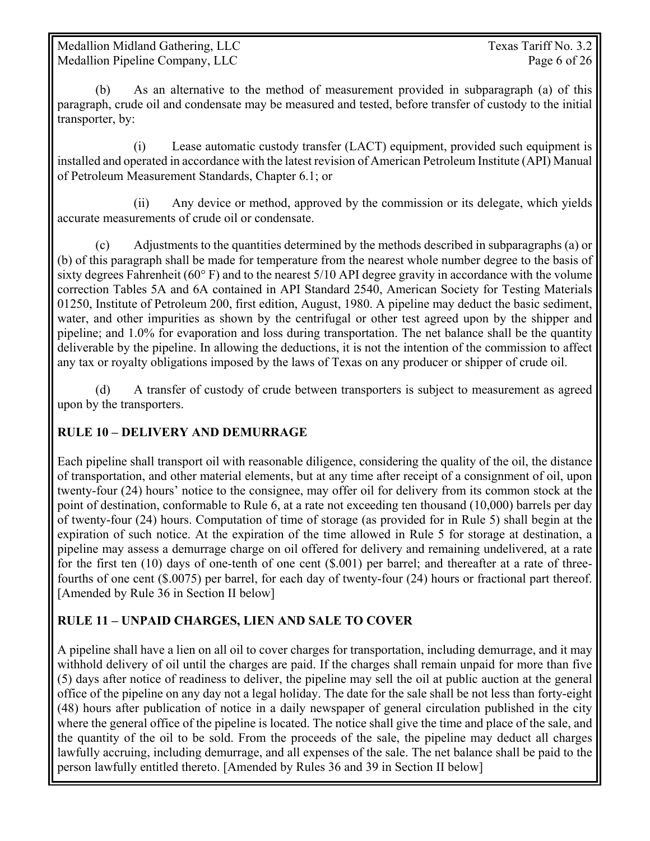Medallion Midland Gathering, LLC Texas Tariff No. 3.2 Medallion Pipeline Company, LLC Page 6 of 26

(b) As an alternative to the method of measurement provided in subparagraph (a) of this paragraph, crude oil and condensate may be measured and tested, before transfer of custody to the initial transporter, by:

 (i) Lease automatic custody transfer (LACT) equipment, provided such equipment is installed and operated in accordance with the latest revision of American Petroleum Institute (API) Manual of Petroleum Measurement Standards, Chapter 6.1; or

 (ii) Any device or method, approved by the commission or its delegate, which yields accurate measurements of crude oil or condensate.

(c) Adjustments to the quantities determined by the methods described in subparagraphs (a) or (b) of this paragraph shall be made for temperature from the nearest whole number degree to the basis of sixty degrees Fahrenheit (60° F) and to the nearest 5/10 API degree gravity in accordance with the volume correction Tables 5A and 6A contained in API Standard 2540, American Society for Testing Materials 01250, Institute of Petroleum 200, first edition, August, 1980. A pipeline may deduct the basic sediment, water, and other impurities as shown by the centrifugal or other test agreed upon by the shipper and pipeline; and 1.0% for evaporation and loss during transportation. The net balance shall be the quantity deliverable by the pipeline. In allowing the deductions, it is not the intention of the commission to affect any tax or royalty obligations imposed by the laws of Texas on any producer or shipper of crude oil.

(d) A transfer of custody of crude between transporters is subject to measurement as agreed upon by the transporters.

### **RULE 10 – DELIVERY AND DEMURRAGE**

Each pipeline shall transport oil with reasonable diligence, considering the quality of the oil, the distance of transportation, and other material elements, but at any time after receipt of a consignment of oil, upon twenty-four (24) hours' notice to the consignee, may offer oil for delivery from its common stock at the point of destination, conformable to Rule 6, at a rate not exceeding ten thousand (10,000) barrels per day of twenty-four (24) hours. Computation of time of storage (as provided for in Rule 5) shall begin at the expiration of such notice. At the expiration of the time allowed in Rule 5 for storage at destination, a pipeline may assess a demurrage charge on oil offered for delivery and remaining undelivered, at a rate for the first ten (10) days of one-tenth of one cent (\$.001) per barrel; and thereafter at a rate of threefourths of one cent (\$.0075) per barrel, for each day of twenty-four (24) hours or fractional part thereof. [Amended by Rule 36 in Section II below]

### **RULE 11 – UNPAID CHARGES, LIEN AND SALE TO COVER**

A pipeline shall have a lien on all oil to cover charges for transportation, including demurrage, and it may withhold delivery of oil until the charges are paid. If the charges shall remain unpaid for more than five (5) days after notice of readiness to deliver, the pipeline may sell the oil at public auction at the general office of the pipeline on any day not a legal holiday. The date for the sale shall be not less than forty-eight (48) hours after publication of notice in a daily newspaper of general circulation published in the city where the general office of the pipeline is located. The notice shall give the time and place of the sale, and the quantity of the oil to be sold. From the proceeds of the sale, the pipeline may deduct all charges lawfully accruing, including demurrage, and all expenses of the sale. The net balance shall be paid to the person lawfully entitled thereto. [Amended by Rules 36 and 39 in Section II below]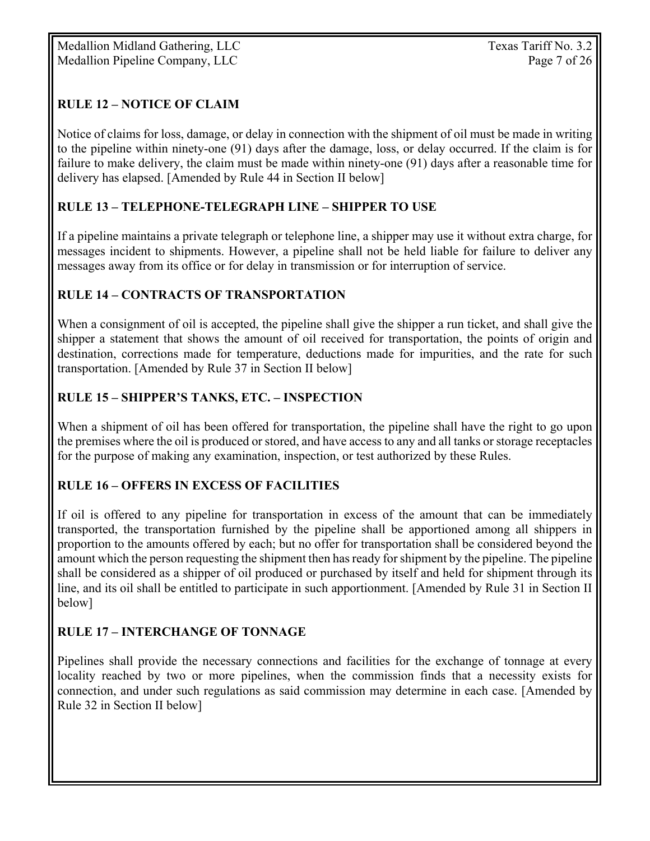Medallion Midland Gathering, LLC Texas Tariff No. 3.2 Medallion Pipeline Company, LLC Page 7 of 26

# **RULE 12 – NOTICE OF CLAIM**

Notice of claims for loss, damage, or delay in connection with the shipment of oil must be made in writing to the pipeline within ninety-one (91) days after the damage, loss, or delay occurred. If the claim is for failure to make delivery, the claim must be made within ninety-one (91) days after a reasonable time for delivery has elapsed. [Amended by Rule 44 in Section II below]

### **RULE 13 – TELEPHONE-TELEGRAPH LINE – SHIPPER TO USE**

If a pipeline maintains a private telegraph or telephone line, a shipper may use it without extra charge, for messages incident to shipments. However, a pipeline shall not be held liable for failure to deliver any messages away from its office or for delay in transmission or for interruption of service.

#### **RULE 14 – CONTRACTS OF TRANSPORTATION**

When a consignment of oil is accepted, the pipeline shall give the shipper a run ticket, and shall give the shipper a statement that shows the amount of oil received for transportation, the points of origin and destination, corrections made for temperature, deductions made for impurities, and the rate for such transportation. [Amended by Rule 37 in Section II below]

### **RULE 15 – SHIPPER'S TANKS, ETC. – INSPECTION**

When a shipment of oil has been offered for transportation, the pipeline shall have the right to go upon the premises where the oil is produced or stored, and have access to any and all tanks or storage receptacles for the purpose of making any examination, inspection, or test authorized by these Rules.

### **RULE 16 – OFFERS IN EXCESS OF FACILITIES**

If oil is offered to any pipeline for transportation in excess of the amount that can be immediately transported, the transportation furnished by the pipeline shall be apportioned among all shippers in proportion to the amounts offered by each; but no offer for transportation shall be considered beyond the amount which the person requesting the shipment then has ready for shipment by the pipeline. The pipeline shall be considered as a shipper of oil produced or purchased by itself and held for shipment through its line, and its oil shall be entitled to participate in such apportionment. [Amended by Rule 31 in Section II below]

### **RULE 17 – INTERCHANGE OF TONNAGE**

Pipelines shall provide the necessary connections and facilities for the exchange of tonnage at every locality reached by two or more pipelines, when the commission finds that a necessity exists for connection, and under such regulations as said commission may determine in each case. [Amended by Rule 32 in Section II below]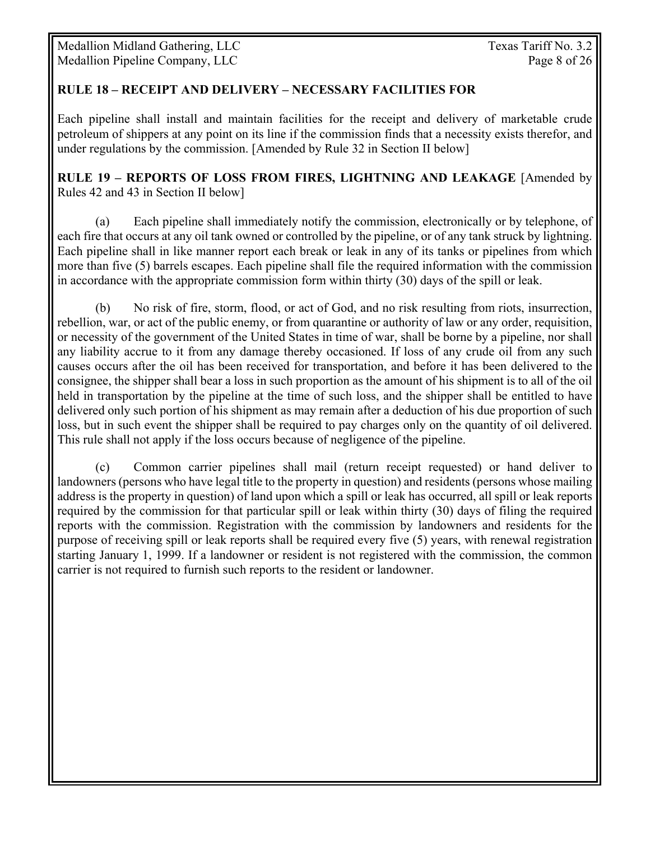#### **RULE 18 – RECEIPT AND DELIVERY – NECESSARY FACILITIES FOR**

Each pipeline shall install and maintain facilities for the receipt and delivery of marketable crude petroleum of shippers at any point on its line if the commission finds that a necessity exists therefor, and under regulations by the commission. [Amended by Rule 32 in Section II below]

**RULE 19 – REPORTS OF LOSS FROM FIRES, LIGHTNING AND LEAKAGE** [Amended by Rules 42 and 43 in Section II below]

(a) Each pipeline shall immediately notify the commission, electronically or by telephone, of each fire that occurs at any oil tank owned or controlled by the pipeline, or of any tank struck by lightning. Each pipeline shall in like manner report each break or leak in any of its tanks or pipelines from which more than five (5) barrels escapes. Each pipeline shall file the required information with the commission in accordance with the appropriate commission form within thirty (30) days of the spill or leak.

(b) No risk of fire, storm, flood, or act of God, and no risk resulting from riots, insurrection, rebellion, war, or act of the public enemy, or from quarantine or authority of law or any order, requisition, or necessity of the government of the United States in time of war, shall be borne by a pipeline, nor shall any liability accrue to it from any damage thereby occasioned. If loss of any crude oil from any such causes occurs after the oil has been received for transportation, and before it has been delivered to the consignee, the shipper shall bear a loss in such proportion as the amount of his shipment is to all of the oil held in transportation by the pipeline at the time of such loss, and the shipper shall be entitled to have delivered only such portion of his shipment as may remain after a deduction of his due proportion of such loss, but in such event the shipper shall be required to pay charges only on the quantity of oil delivered. This rule shall not apply if the loss occurs because of negligence of the pipeline.

(c) Common carrier pipelines shall mail (return receipt requested) or hand deliver to landowners (persons who have legal title to the property in question) and residents (persons whose mailing address is the property in question) of land upon which a spill or leak has occurred, all spill or leak reports required by the commission for that particular spill or leak within thirty (30) days of filing the required reports with the commission. Registration with the commission by landowners and residents for the purpose of receiving spill or leak reports shall be required every five (5) years, with renewal registration starting January 1, 1999. If a landowner or resident is not registered with the commission, the common carrier is not required to furnish such reports to the resident or landowner.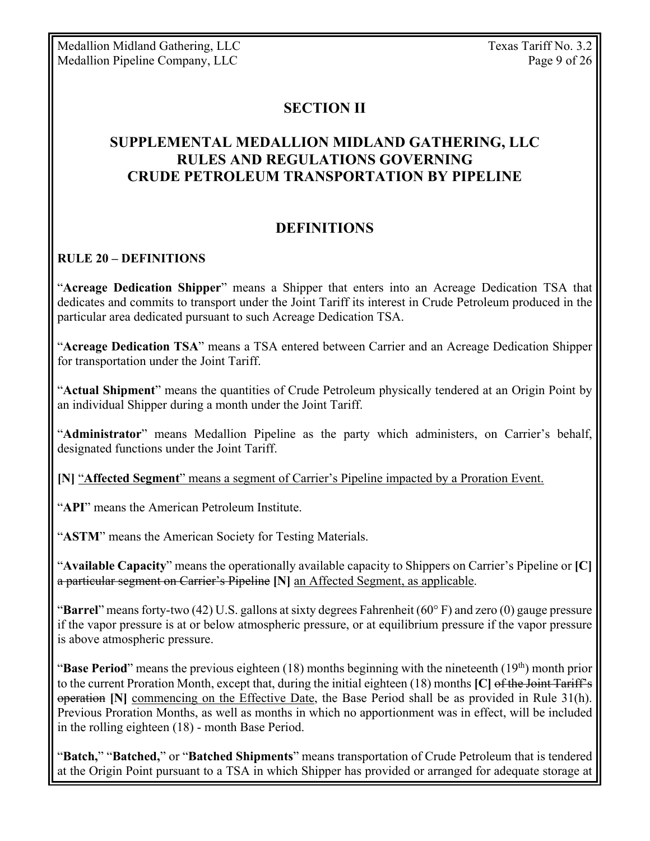# **SECTION II**

# **SUPPLEMENTAL MEDALLION MIDLAND GATHERING, LLC RULES AND REGULATIONS GOVERNING CRUDE PETROLEUM TRANSPORTATION BY PIPELINE**

# **DEFINITIONS**

#### **RULE 20 – DEFINITIONS**

"**Acreage Dedication Shipper**" means a Shipper that enters into an Acreage Dedication TSA that dedicates and commits to transport under the Joint Tariff its interest in Crude Petroleum produced in the particular area dedicated pursuant to such Acreage Dedication TSA.

"**Acreage Dedication TSA**" means a TSA entered between Carrier and an Acreage Dedication Shipper for transportation under the Joint Tariff.

"**Actual Shipment**" means the quantities of Crude Petroleum physically tendered at an Origin Point by an individual Shipper during a month under the Joint Tariff.

"**Administrator**" means Medallion Pipeline as the party which administers, on Carrier's behalf, designated functions under the Joint Tariff.

**[N]** "**Affected Segment**" means a segment of Carrier's Pipeline impacted by a Proration Event.

"**API**" means the American Petroleum Institute.

"**ASTM**" means the American Society for Testing Materials.

"**Available Capacity**" means the operationally available capacity to Shippers on Carrier's Pipeline or **[C]** a particular segment on Carrier's Pipeline **[N]** an Affected Segment, as applicable.

"**Barrel**" means forty-two (42) U.S. gallons at sixty degrees Fahrenheit (60° F) and zero (0) gauge pressure if the vapor pressure is at or below atmospheric pressure, or at equilibrium pressure if the vapor pressure is above atmospheric pressure.

"**Base Period**" means the previous eighteen (18) months beginning with the nineteenth (19<sup>th</sup>) month prior to the current Proration Month, except that, during the initial eighteen (18) months **[C]** of the Joint Tariff's operation **[N]** commencing on the Effective Date, the Base Period shall be as provided in Rule 31(h). Previous Proration Months, as well as months in which no apportionment was in effect, will be included in the rolling eighteen (18) - month Base Period.

"**Batch,**" "**Batched,**" or "**Batched Shipments**" means transportation of Crude Petroleum that is tendered at the Origin Point pursuant to a TSA in which Shipper has provided or arranged for adequate storage at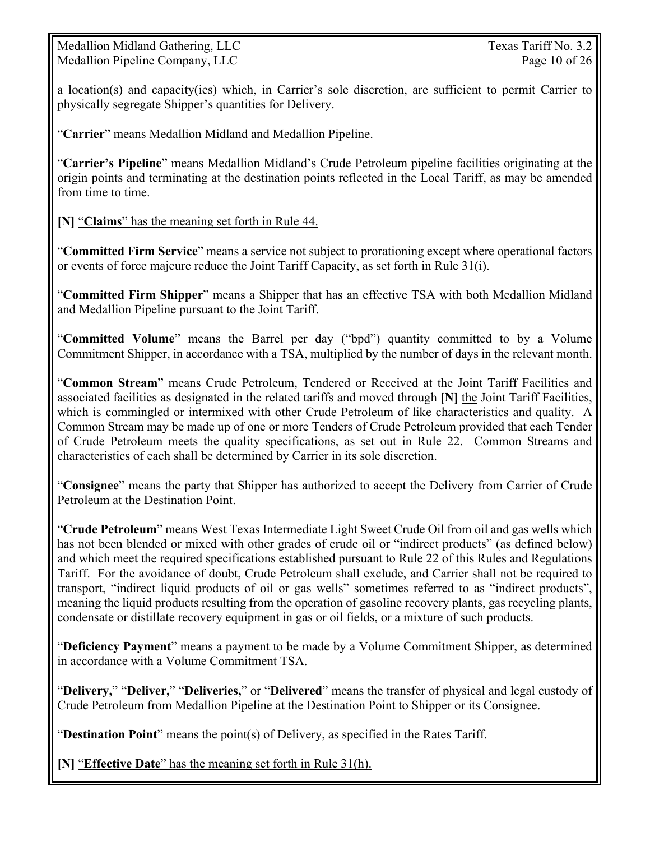Medallion Midland Gathering, LLC Texas Tariff No. 3.2 Medallion Pipeline Company, LLC Page 10 of 26

a location(s) and capacity(ies) which, in Carrier's sole discretion, are sufficient to permit Carrier to physically segregate Shipper's quantities for Delivery.

"**Carrier**" means Medallion Midland and Medallion Pipeline.

"**Carrier's Pipeline**" means Medallion Midland's Crude Petroleum pipeline facilities originating at the origin points and terminating at the destination points reflected in the Local Tariff, as may be amended from time to time.

**[N]** "**Claims**" has the meaning set forth in Rule 44.

"**Committed Firm Service**" means a service not subject to prorationing except where operational factors or events of force majeure reduce the Joint Tariff Capacity, as set forth in Rule 31(i).

"**Committed Firm Shipper**" means a Shipper that has an effective TSA with both Medallion Midland and Medallion Pipeline pursuant to the Joint Tariff.

"**Committed Volume**" means the Barrel per day ("bpd") quantity committed to by a Volume Commitment Shipper, in accordance with a TSA, multiplied by the number of days in the relevant month.

"**Common Stream**" means Crude Petroleum, Tendered or Received at the Joint Tariff Facilities and associated facilities as designated in the related tariffs and moved through **[N]** the Joint Tariff Facilities, which is commingled or intermixed with other Crude Petroleum of like characteristics and quality. A Common Stream may be made up of one or more Tenders of Crude Petroleum provided that each Tender of Crude Petroleum meets the quality specifications, as set out in Rule 22. Common Streams and characteristics of each shall be determined by Carrier in its sole discretion.

"**Consignee**" means the party that Shipper has authorized to accept the Delivery from Carrier of Crude Petroleum at the Destination Point.

"**Crude Petroleum**" means West Texas Intermediate Light Sweet Crude Oil from oil and gas wells which has not been blended or mixed with other grades of crude oil or "indirect products" (as defined below) and which meet the required specifications established pursuant to Rule 22 of this Rules and Regulations Tariff. For the avoidance of doubt, Crude Petroleum shall exclude, and Carrier shall not be required to transport, "indirect liquid products of oil or gas wells" sometimes referred to as "indirect products", meaning the liquid products resulting from the operation of gasoline recovery plants, gas recycling plants, condensate or distillate recovery equipment in gas or oil fields, or a mixture of such products.

"**Deficiency Payment**" means a payment to be made by a Volume Commitment Shipper, as determined in accordance with a Volume Commitment TSA.

"**Delivery,**" "**Deliver,**" "**Deliveries,**" or "**Delivered**" means the transfer of physical and legal custody of Crude Petroleum from Medallion Pipeline at the Destination Point to Shipper or its Consignee.

"**Destination Point**" means the point(s) of Delivery, as specified in the Rates Tariff.

**[N]** "**Effective Date**" has the meaning set forth in Rule 31(h).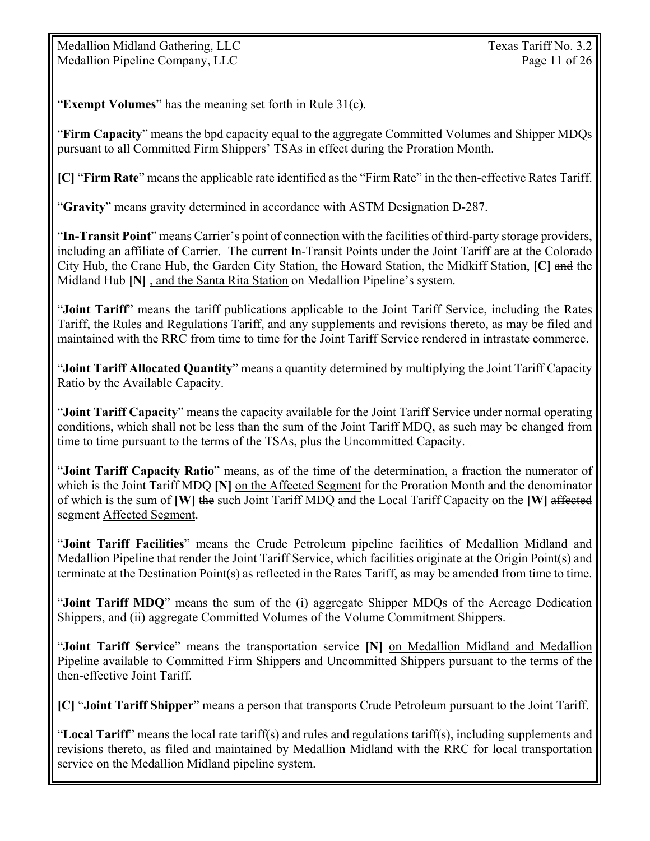Medallion Midland Gathering, LLC Texas Tariff No. 3.2 Medallion Pipeline Company, LLC Page 11 of 26

"**Exempt Volumes**" has the meaning set forth in Rule 31(c).

"**Firm Capacity**" means the bpd capacity equal to the aggregate Committed Volumes and Shipper MDQs pursuant to all Committed Firm Shippers' TSAs in effect during the Proration Month.

#### **[C]** "**Firm Rate**" means the applicable rate identified as the "Firm Rate" in the then-effective Rates Tariff.

"**Gravity**" means gravity determined in accordance with ASTM Designation D-287.

"**In-Transit Point**" means Carrier's point of connection with the facilities of third-party storage providers, including an affiliate of Carrier. The current In-Transit Points under the Joint Tariff are at the Colorado City Hub, the Crane Hub, the Garden City Station, the Howard Station, the Midkiff Station, **[C]** and the Midland Hub **[N]** , and the Santa Rita Station on Medallion Pipeline's system.

"**Joint Tariff**" means the tariff publications applicable to the Joint Tariff Service, including the Rates Tariff, the Rules and Regulations Tariff, and any supplements and revisions thereto, as may be filed and maintained with the RRC from time to time for the Joint Tariff Service rendered in intrastate commerce.

"**Joint Tariff Allocated Quantity**" means a quantity determined by multiplying the Joint Tariff Capacity Ratio by the Available Capacity.

"**Joint Tariff Capacity**" means the capacity available for the Joint Tariff Service under normal operating conditions, which shall not be less than the sum of the Joint Tariff MDQ, as such may be changed from time to time pursuant to the terms of the TSAs, plus the Uncommitted Capacity.

"**Joint Tariff Capacity Ratio**" means, as of the time of the determination, a fraction the numerator of which is the Joint Tariff MDQ [N] on the Affected Segment for the Proration Month and the denominator of which is the sum of **[W]** the such Joint Tariff MDQ and the Local Tariff Capacity on the **[W]** affected segment Affected Segment.

"**Joint Tariff Facilities**" means the Crude Petroleum pipeline facilities of Medallion Midland and Medallion Pipeline that render the Joint Tariff Service, which facilities originate at the Origin Point(s) and terminate at the Destination Point(s) as reflected in the Rates Tariff, as may be amended from time to time.

"**Joint Tariff MDQ**" means the sum of the (i) aggregate Shipper MDQs of the Acreage Dedication Shippers, and (ii) aggregate Committed Volumes of the Volume Commitment Shippers.

"**Joint Tariff Service**" means the transportation service **[N]** on Medallion Midland and Medallion Pipeline available to Committed Firm Shippers and Uncommitted Shippers pursuant to the terms of the then-effective Joint Tariff.

**[C]** "**Joint Tariff Shipper**" means a person that transports Crude Petroleum pursuant to the Joint Tariff.

"**Local Tariff**" means the local rate tariff(s) and rules and regulations tariff(s), including supplements and revisions thereto, as filed and maintained by Medallion Midland with the RRC for local transportation service on the Medallion Midland pipeline system.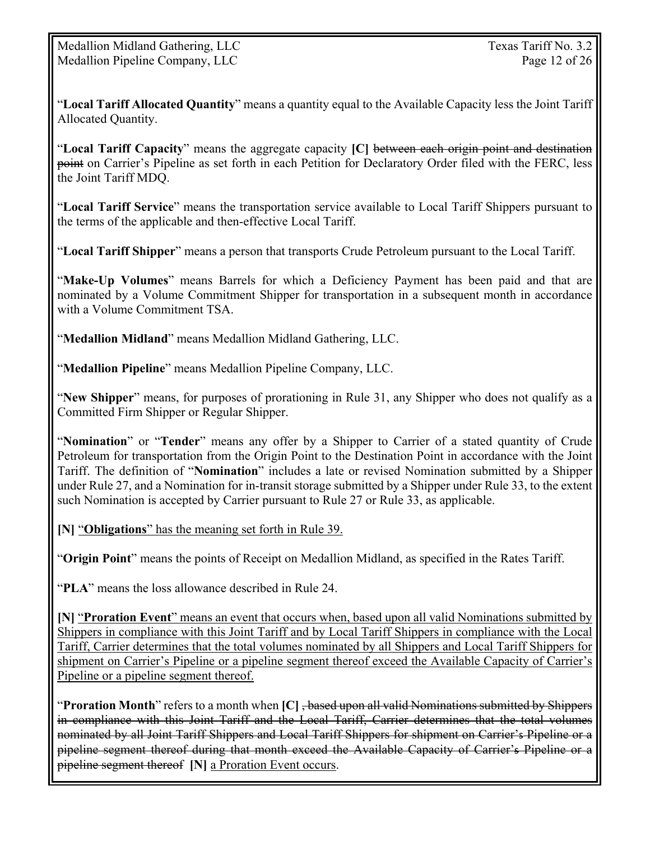"**Local Tariff Allocated Quantity**" means a quantity equal to the Available Capacity less the Joint Tariff Allocated Quantity.

"**Local Tariff Capacity**" means the aggregate capacity **[C]** between each origin point and destination point on Carrier's Pipeline as set forth in each Petition for Declaratory Order filed with the FERC, less the Joint Tariff MDQ.

"**Local Tariff Service**" means the transportation service available to Local Tariff Shippers pursuant to the terms of the applicable and then-effective Local Tariff.

"**Local Tariff Shipper**" means a person that transports Crude Petroleum pursuant to the Local Tariff.

"**Make-Up Volumes**" means Barrels for which a Deficiency Payment has been paid and that are nominated by a Volume Commitment Shipper for transportation in a subsequent month in accordance with a Volume Commitment TSA.

"**Medallion Midland**" means Medallion Midland Gathering, LLC.

"**Medallion Pipeline**" means Medallion Pipeline Company, LLC.

"**New Shipper**" means, for purposes of prorationing in Rule 31, any Shipper who does not qualify as a Committed Firm Shipper or Regular Shipper.

"**Nomination**" or "**Tender**" means any offer by a Shipper to Carrier of a stated quantity of Crude Petroleum for transportation from the Origin Point to the Destination Point in accordance with the Joint Tariff. The definition of "**Nomination**" includes a late or revised Nomination submitted by a Shipper under Rule 27, and a Nomination for in-transit storage submitted by a Shipper under Rule 33, to the extent such Nomination is accepted by Carrier pursuant to Rule 27 or Rule 33, as applicable.

**[N]** "**Obligations**" has the meaning set forth in Rule 39.

"**Origin Point**" means the points of Receipt on Medallion Midland, as specified in the Rates Tariff.

"**PLA**" means the loss allowance described in Rule 24.

**[N]** "**Proration Event**" means an event that occurs when, based upon all valid Nominations submitted by Shippers in compliance with this Joint Tariff and by Local Tariff Shippers in compliance with the Local Tariff, Carrier determines that the total volumes nominated by all Shippers and Local Tariff Shippers for shipment on Carrier's Pipeline or a pipeline segment thereof exceed the Available Capacity of Carrier's Pipeline or a pipeline segment thereof.

"**Proration Month**" refers to a month when **[C]** , based upon all valid Nominations submitted by Shippers in compliance with this Joint Tariff and the Local Tariff, Carrier determines that the total volumes nominated by all Joint Tariff Shippers and Local Tariff Shippers for shipment on Carrier's Pipeline or a pipeline segment thereof during that month exceed the Available Capacity of Carrier's Pipeline or a pipeline segment thereof **[N]** a Proration Event occurs.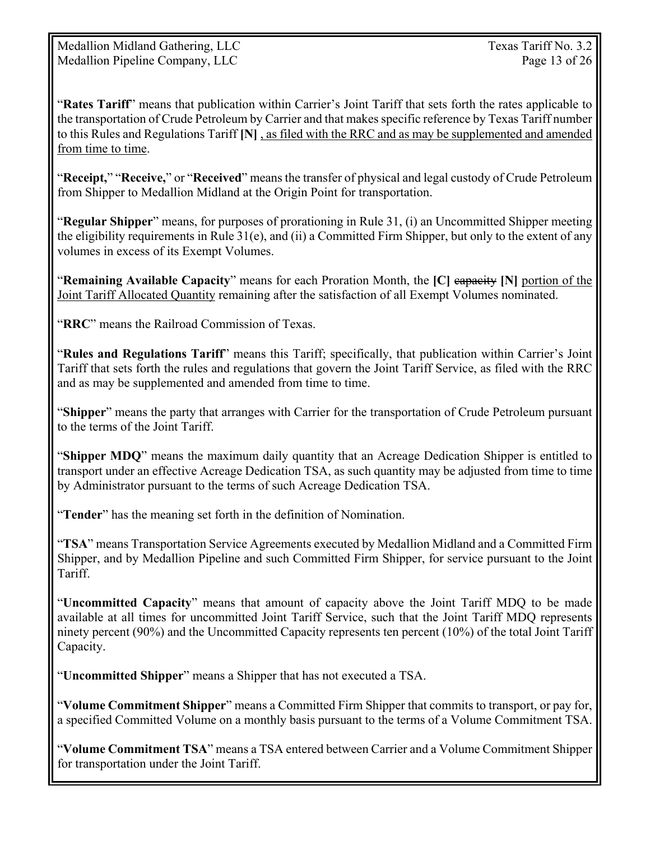Medallion Midland Gathering, LLC Texas Tariff No. 3.2 Medallion Pipeline Company, LLC Page 13 of 26

"**Rates Tariff**" means that publication within Carrier's Joint Tariff that sets forth the rates applicable to the transportation of Crude Petroleum by Carrier and that makes specific reference by Texas Tariff number to this Rules and Regulations Tariff **[N]** , as filed with the RRC and as may be supplemented and amended from time to time.

"**Receipt,**" "**Receive,**" or "**Received**" means the transfer of physical and legal custody of Crude Petroleum from Shipper to Medallion Midland at the Origin Point for transportation.

"**Regular Shipper**" means, for purposes of prorationing in Rule 31, (i) an Uncommitted Shipper meeting the eligibility requirements in Rule 31(e), and (ii) a Committed Firm Shipper, but only to the extent of any volumes in excess of its Exempt Volumes.

"**Remaining Available Capacity**" means for each Proration Month, the **[C]** capacity **[N]** portion of the Joint Tariff Allocated Quantity remaining after the satisfaction of all Exempt Volumes nominated.

"**RRC**" means the Railroad Commission of Texas.

"**Rules and Regulations Tariff**" means this Tariff; specifically, that publication within Carrier's Joint Tariff that sets forth the rules and regulations that govern the Joint Tariff Service, as filed with the RRC and as may be supplemented and amended from time to time.

"**Shipper**" means the party that arranges with Carrier for the transportation of Crude Petroleum pursuant to the terms of the Joint Tariff.

"**Shipper MDQ**" means the maximum daily quantity that an Acreage Dedication Shipper is entitled to transport under an effective Acreage Dedication TSA, as such quantity may be adjusted from time to time by Administrator pursuant to the terms of such Acreage Dedication TSA.

"**Tender**" has the meaning set forth in the definition of Nomination.

"**TSA**" means Transportation Service Agreements executed by Medallion Midland and a Committed Firm Shipper, and by Medallion Pipeline and such Committed Firm Shipper, for service pursuant to the Joint Tariff.

"**Uncommitted Capacity**" means that amount of capacity above the Joint Tariff MDQ to be made available at all times for uncommitted Joint Tariff Service, such that the Joint Tariff MDQ represents ninety percent (90%) and the Uncommitted Capacity represents ten percent (10%) of the total Joint Tariff Capacity.

"**Uncommitted Shipper**" means a Shipper that has not executed a TSA.

"**Volume Commitment Shipper**" means a Committed Firm Shipper that commits to transport, or pay for, a specified Committed Volume on a monthly basis pursuant to the terms of a Volume Commitment TSA.

"**Volume Commitment TSA**" means a TSA entered between Carrier and a Volume Commitment Shipper for transportation under the Joint Tariff.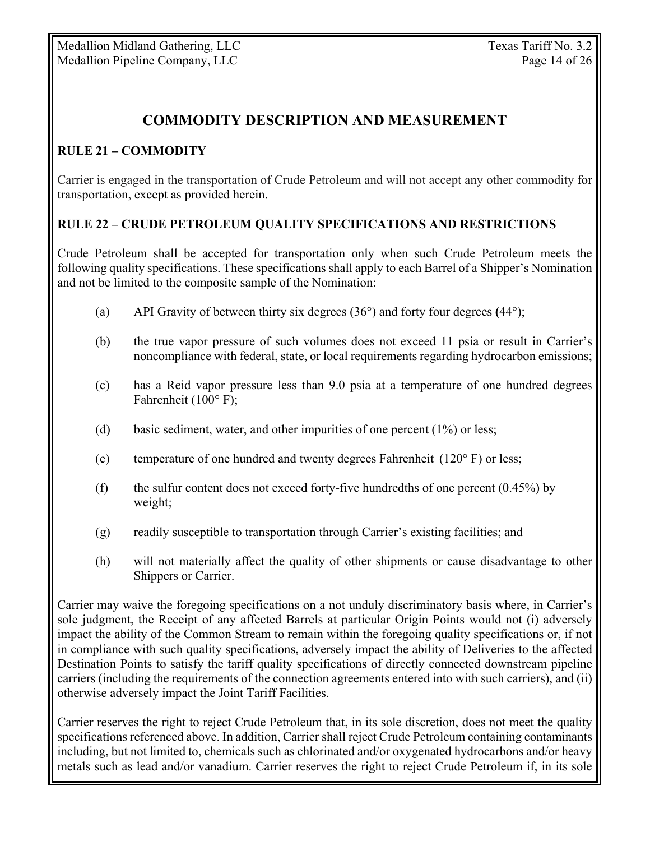# **COMMODITY DESCRIPTION AND MEASUREMENT**

### **RULE 21 – COMMODITY**

Carrier is engaged in the transportation of Crude Petroleum and will not accept any other commodity for transportation, except as provided herein.

#### **RULE 22 – CRUDE PETROLEUM QUALITY SPECIFICATIONS AND RESTRICTIONS**

Crude Petroleum shall be accepted for transportation only when such Crude Petroleum meets the following quality specifications. These specifications shall apply to each Barrel of a Shipper's Nomination and not be limited to the composite sample of the Nomination:

- (a) API Gravity of between thirty six degrees (36°) and forty four degrees **(**44°);
- (b) the true vapor pressure of such volumes does not exceed 11 psia or result in Carrier's noncompliance with federal, state, or local requirements regarding hydrocarbon emissions;
- (c) has a Reid vapor pressure less than 9.0 psia at a temperature of one hundred degrees Fahrenheit (100° F);
- (d) basic sediment, water, and other impurities of one percent (1%) or less;
- (e) temperature of one hundred and twenty degrees Fahrenheit (120° F) or less;
- (f) the sulfur content does not exceed forty-five hundredths of one percent  $(0.45\%)$  by weight;
- (g) readily susceptible to transportation through Carrier's existing facilities; and
- (h) will not materially affect the quality of other shipments or cause disadvantage to other Shippers or Carrier.

Carrier may waive the foregoing specifications on a not unduly discriminatory basis where, in Carrier's sole judgment, the Receipt of any affected Barrels at particular Origin Points would not (i) adversely impact the ability of the Common Stream to remain within the foregoing quality specifications or, if not in compliance with such quality specifications, adversely impact the ability of Deliveries to the affected Destination Points to satisfy the tariff quality specifications of directly connected downstream pipeline carriers (including the requirements of the connection agreements entered into with such carriers), and (ii) otherwise adversely impact the Joint Tariff Facilities.

Carrier reserves the right to reject Crude Petroleum that, in its sole discretion, does not meet the quality specifications referenced above. In addition, Carrier shall reject Crude Petroleum containing contaminants including, but not limited to, chemicals such as chlorinated and/or oxygenated hydrocarbons and/or heavy metals such as lead and/or vanadium. Carrier reserves the right to reject Crude Petroleum if, in its sole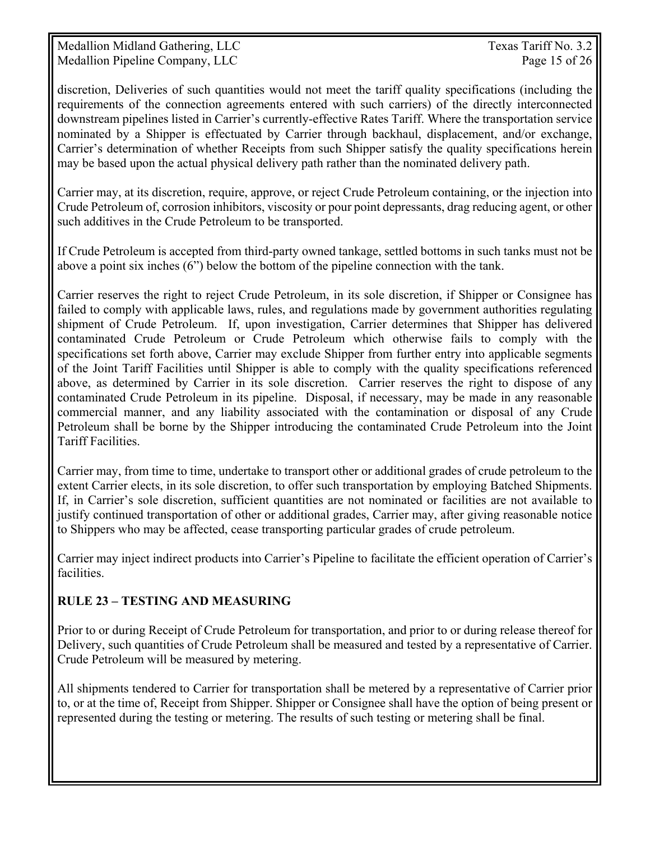Medallion Midland Gathering, LLC Texas Tariff No. 3.2 Medallion Pipeline Company, LLC Page 15 of 26

discretion, Deliveries of such quantities would not meet the tariff quality specifications (including the requirements of the connection agreements entered with such carriers) of the directly interconnected downstream pipelines listed in Carrier's currently-effective Rates Tariff. Where the transportation service nominated by a Shipper is effectuated by Carrier through backhaul, displacement, and/or exchange, Carrier's determination of whether Receipts from such Shipper satisfy the quality specifications herein may be based upon the actual physical delivery path rather than the nominated delivery path.

Carrier may, at its discretion, require, approve, or reject Crude Petroleum containing, or the injection into Crude Petroleum of, corrosion inhibitors, viscosity or pour point depressants, drag reducing agent, or other such additives in the Crude Petroleum to be transported.

If Crude Petroleum is accepted from third-party owned tankage, settled bottoms in such tanks must not be above a point six inches (6") below the bottom of the pipeline connection with the tank.

Carrier reserves the right to reject Crude Petroleum, in its sole discretion, if Shipper or Consignee has failed to comply with applicable laws, rules, and regulations made by government authorities regulating shipment of Crude Petroleum.If, upon investigation, Carrier determines that Shipper has delivered contaminated Crude Petroleum or Crude Petroleum which otherwise fails to comply with the specifications set forth above, Carrier may exclude Shipper from further entry into applicable segments of the Joint Tariff Facilities until Shipper is able to comply with the quality specifications referenced above, as determined by Carrier in its sole discretion. Carrier reserves the right to dispose of any contaminated Crude Petroleum in its pipeline. Disposal, if necessary, may be made in any reasonable commercial manner, and any liability associated with the contamination or disposal of any Crude Petroleum shall be borne by the Shipper introducing the contaminated Crude Petroleum into the Joint Tariff Facilities.

Carrier may, from time to time, undertake to transport other or additional grades of crude petroleum to the extent Carrier elects, in its sole discretion, to offer such transportation by employing Batched Shipments. If, in Carrier's sole discretion, sufficient quantities are not nominated or facilities are not available to justify continued transportation of other or additional grades, Carrier may, after giving reasonable notice to Shippers who may be affected, cease transporting particular grades of crude petroleum.

Carrier may inject indirect products into Carrier's Pipeline to facilitate the efficient operation of Carrier's facilities.

#### **RULE 23 – TESTING AND MEASURING**

Prior to or during Receipt of Crude Petroleum for transportation, and prior to or during release thereof for Delivery, such quantities of Crude Petroleum shall be measured and tested by a representative of Carrier. Crude Petroleum will be measured by metering.

All shipments tendered to Carrier for transportation shall be metered by a representative of Carrier prior to, or at the time of, Receipt from Shipper. Shipper or Consignee shall have the option of being present or represented during the testing or metering. The results of such testing or metering shall be final.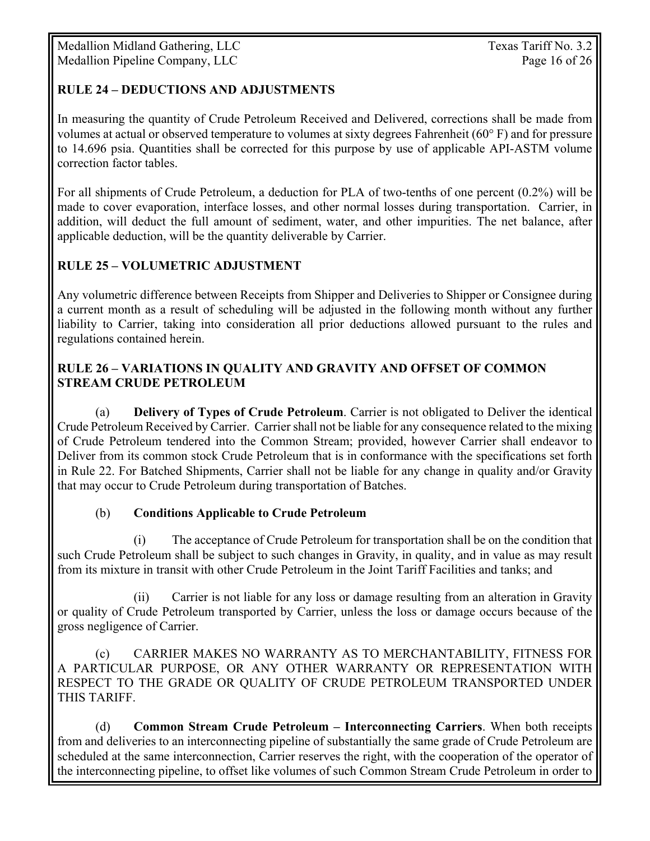#### **RULE 24 – DEDUCTIONS AND ADJUSTMENTS**

In measuring the quantity of Crude Petroleum Received and Delivered, corrections shall be made from volumes at actual or observed temperature to volumes at sixty degrees Fahrenheit (60° F) and for pressure to 14.696 psia. Quantities shall be corrected for this purpose by use of applicable API-ASTM volume correction factor tables.

For all shipments of Crude Petroleum, a deduction for PLA of two-tenths of one percent (0.2%) will be made to cover evaporation, interface losses, and other normal losses during transportation. Carrier, in addition, will deduct the full amount of sediment, water, and other impurities. The net balance, after applicable deduction, will be the quantity deliverable by Carrier.

#### **RULE 25 – VOLUMETRIC ADJUSTMENT**

Any volumetric difference between Receipts from Shipper and Deliveries to Shipper or Consignee during a current month as a result of scheduling will be adjusted in the following month without any further liability to Carrier, taking into consideration all prior deductions allowed pursuant to the rules and regulations contained herein.

#### **RULE 26 – VARIATIONS IN QUALITY AND GRAVITY AND OFFSET OF COMMON STREAM CRUDE PETROLEUM**

(a) **Delivery of Types of Crude Petroleum**. Carrier is not obligated to Deliver the identical Crude Petroleum Received by Carrier. Carrier shall not be liable for any consequence related to the mixing of Crude Petroleum tendered into the Common Stream; provided, however Carrier shall endeavor to Deliver from its common stock Crude Petroleum that is in conformance with the specifications set forth in Rule 22. For Batched Shipments, Carrier shall not be liable for any change in quality and/or Gravity that may occur to Crude Petroleum during transportation of Batches.

#### (b) **Conditions Applicable to Crude Petroleum**

 (i) The acceptance of Crude Petroleum for transportation shall be on the condition that such Crude Petroleum shall be subject to such changes in Gravity, in quality, and in value as may result from its mixture in transit with other Crude Petroleum in the Joint Tariff Facilities and tanks; and

 (ii) Carrier is not liable for any loss or damage resulting from an alteration in Gravity or quality of Crude Petroleum transported by Carrier, unless the loss or damage occurs because of the gross negligence of Carrier.

 (c) CARRIER MAKES NO WARRANTY AS TO MERCHANTABILITY, FITNESS FOR A PARTICULAR PURPOSE, OR ANY OTHER WARRANTY OR REPRESENTATION WITH RESPECT TO THE GRADE OR QUALITY OF CRUDE PETROLEUM TRANSPORTED UNDER THIS TARIFF.

 (d) **Common Stream Crude Petroleum – Interconnecting Carriers**. When both receipts from and deliveries to an interconnecting pipeline of substantially the same grade of Crude Petroleum are scheduled at the same interconnection, Carrier reserves the right, with the cooperation of the operator of the interconnecting pipeline, to offset like volumes of such Common Stream Crude Petroleum in order to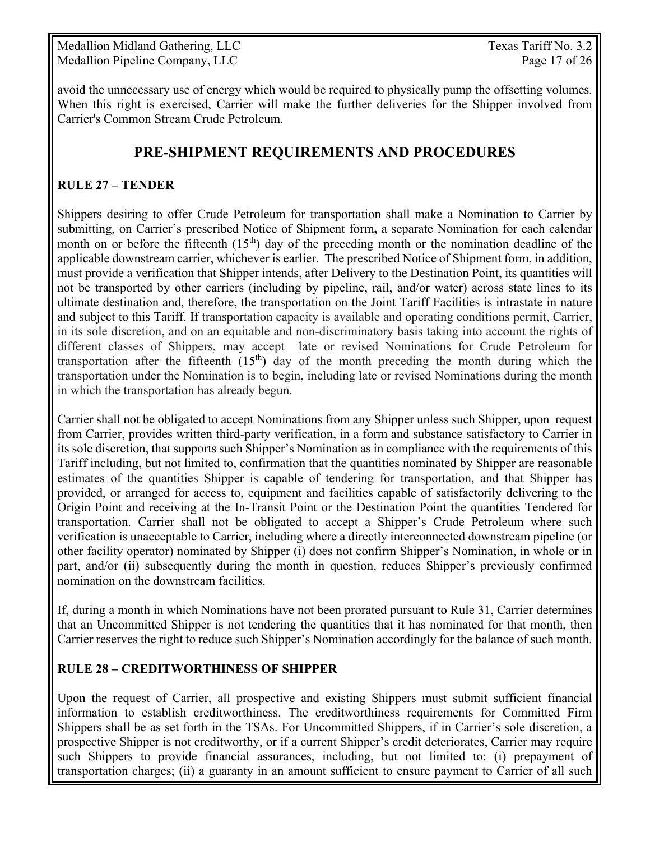Medallion Midland Gathering, LLC Texas Tariff No. 3.2 Medallion Pipeline Company, LLC Page 17 of 26

avoid the unnecessary use of energy which would be required to physically pump the offsetting volumes. When this right is exercised, Carrier will make the further deliveries for the Shipper involved from Carrier's Common Stream Crude Petroleum.

## **PRE-SHIPMENT REQUIREMENTS AND PROCEDURES**

#### **RULE 27 – TENDER**

Shippers desiring to offer Crude Petroleum for transportation shall make a Nomination to Carrier by submitting, on Carrier's prescribed Notice of Shipment form**,** a separate Nomination for each calendar month on or before the fifteenth  $(15<sup>th</sup>)$  day of the preceding month or the nomination deadline of the applicable downstream carrier, whichever is earlier. The prescribed Notice of Shipment form, in addition, must provide a verification that Shipper intends, after Delivery to the Destination Point, its quantities will not be transported by other carriers (including by pipeline, rail, and/or water) across state lines to its ultimate destination and, therefore, the transportation on the Joint Tariff Facilities is intrastate in nature and subject to this Tariff. If transportation capacity is available and operating conditions permit, Carrier, in its sole discretion, and on an equitable and non-discriminatory basis taking into account the rights of different classes of Shippers, may accept late or revised Nominations for Crude Petroleum for transportation after the fifteenth  $(15<sup>th</sup>)$  day of the month preceding the month during which the transportation under the Nomination is to begin, including late or revised Nominations during the month in which the transportation has already begun.

Carrier shall not be obligated to accept Nominations from any Shipper unless such Shipper, upon request from Carrier, provides written third-party verification, in a form and substance satisfactory to Carrier in its sole discretion, that supports such Shipper's Nomination as in compliance with the requirements of this Tariff including, but not limited to, confirmation that the quantities nominated by Shipper are reasonable estimates of the quantities Shipper is capable of tendering for transportation, and that Shipper has provided, or arranged for access to, equipment and facilities capable of satisfactorily delivering to the Origin Point and receiving at the In-Transit Point or the Destination Point the quantities Tendered for transportation. Carrier shall not be obligated to accept a Shipper's Crude Petroleum where such verification is unacceptable to Carrier, including where a directly interconnected downstream pipeline (or other facility operator) nominated by Shipper (i) does not confirm Shipper's Nomination, in whole or in part, and/or (ii) subsequently during the month in question, reduces Shipper's previously confirmed nomination on the downstream facilities.

If, during a month in which Nominations have not been prorated pursuant to Rule 31, Carrier determines that an Uncommitted Shipper is not tendering the quantities that it has nominated for that month, then Carrier reserves the right to reduce such Shipper's Nomination accordingly for the balance of such month.

#### **RULE 28 – CREDITWORTHINESS OF SHIPPER**

Upon the request of Carrier, all prospective and existing Shippers must submit sufficient financial information to establish creditworthiness. The creditworthiness requirements for Committed Firm Shippers shall be as set forth in the TSAs. For Uncommitted Shippers, if in Carrier's sole discretion, a prospective Shipper is not creditworthy, or if a current Shipper's credit deteriorates, Carrier may require such Shippers to provide financial assurances, including, but not limited to: (i) prepayment of transportation charges; (ii) a guaranty in an amount sufficient to ensure payment to Carrier of all such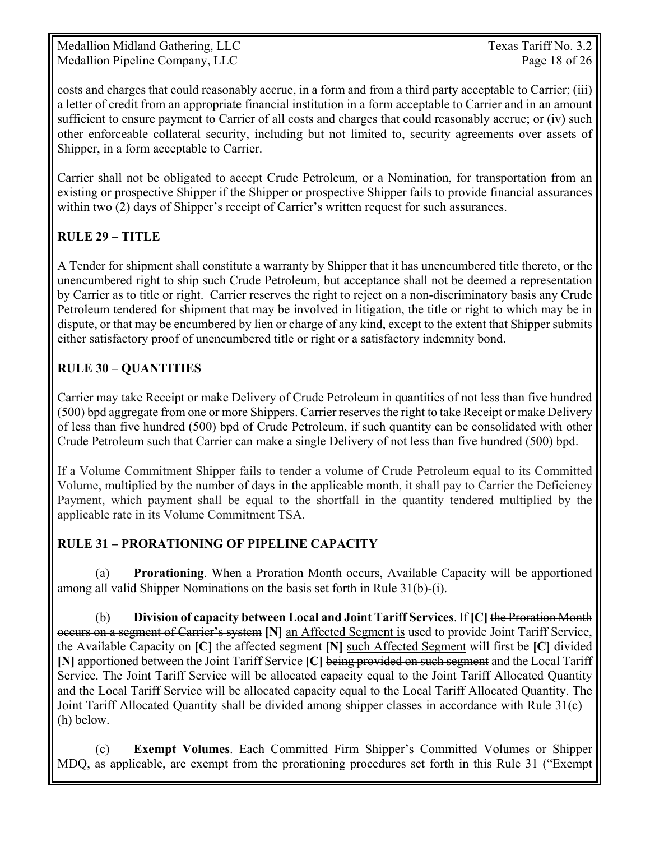Medallion Midland Gathering, LLC Texas Tariff No. 3.2 Medallion Pipeline Company, LLC Page 18 of 26

costs and charges that could reasonably accrue, in a form and from a third party acceptable to Carrier; (iii) a letter of credit from an appropriate financial institution in a form acceptable to Carrier and in an amount sufficient to ensure payment to Carrier of all costs and charges that could reasonably accrue; or (iv) such other enforceable collateral security, including but not limited to, security agreements over assets of Shipper, in a form acceptable to Carrier.

Carrier shall not be obligated to accept Crude Petroleum, or a Nomination, for transportation from an existing or prospective Shipper if the Shipper or prospective Shipper fails to provide financial assurances within two (2) days of Shipper's receipt of Carrier's written request for such assurances.

### **RULE 29 – TITLE**

A Tender for shipment shall constitute a warranty by Shipper that it has unencumbered title thereto, or the unencumbered right to ship such Crude Petroleum, but acceptance shall not be deemed a representation by Carrier as to title or right. Carrier reserves the right to reject on a non-discriminatory basis any Crude Petroleum tendered for shipment that may be involved in litigation, the title or right to which may be in dispute, or that may be encumbered by lien or charge of any kind, except to the extent that Shipper submits either satisfactory proof of unencumbered title or right or a satisfactory indemnity bond.

#### **RULE 30 – QUANTITIES**

Carrier may take Receipt or make Delivery of Crude Petroleum in quantities of not less than five hundred (500) bpd aggregate from one or more Shippers. Carrier reserves the right to take Receipt or make Delivery of less than five hundred (500) bpd of Crude Petroleum, if such quantity can be consolidated with other Crude Petroleum such that Carrier can make a single Delivery of not less than five hundred (500) bpd.

If a Volume Commitment Shipper fails to tender a volume of Crude Petroleum equal to its Committed Volume, multiplied by the number of days in the applicable month, it shall pay to Carrier the Deficiency Payment, which payment shall be equal to the shortfall in the quantity tendered multiplied by the applicable rate in its Volume Commitment TSA.

#### **RULE 31 – PRORATIONING OF PIPELINE CAPACITY**

 (a) **Prorationing**. When a Proration Month occurs, Available Capacity will be apportioned among all valid Shipper Nominations on the basis set forth in Rule 31(b)-(i).

(b) **Division of capacity between Local and Joint Tariff Services**. If **[C]** the Proration Month occurs on a segment of Carrier's system **[N]** an Affected Segment is used to provide Joint Tariff Service, the Available Capacity on **[C]** the affected segment **[N]** such Affected Segment will first be **[C]** divided **[N]** apportioned between the Joint Tariff Service **[C]** being provided on such segment and the Local Tariff Service. The Joint Tariff Service will be allocated capacity equal to the Joint Tariff Allocated Quantity and the Local Tariff Service will be allocated capacity equal to the Local Tariff Allocated Quantity. The Joint Tariff Allocated Quantity shall be divided among shipper classes in accordance with Rule 31(c) – (h) below.

(c) **Exempt Volumes**. Each Committed Firm Shipper's Committed Volumes or Shipper MDQ, as applicable, are exempt from the prorationing procedures set forth in this Rule 31 ("Exempt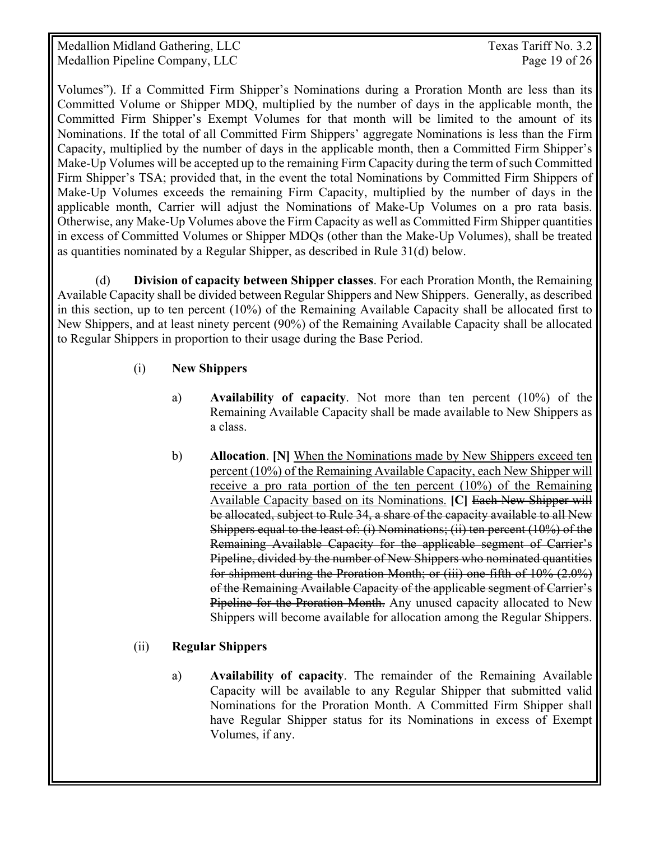Medallion Midland Gathering, LLC Texas Tariff No. 3.2 Medallion Pipeline Company, LLC Page 19 of 26

Volumes"). If a Committed Firm Shipper's Nominations during a Proration Month are less than its Committed Volume or Shipper MDQ, multiplied by the number of days in the applicable month, the Committed Firm Shipper's Exempt Volumes for that month will be limited to the amount of its Nominations. If the total of all Committed Firm Shippers' aggregate Nominations is less than the Firm Capacity, multiplied by the number of days in the applicable month, then a Committed Firm Shipper's Make-Up Volumes will be accepted up to the remaining Firm Capacity during the term of such Committed Firm Shipper's TSA; provided that, in the event the total Nominations by Committed Firm Shippers of Make-Up Volumes exceeds the remaining Firm Capacity, multiplied by the number of days in the applicable month, Carrier will adjust the Nominations of Make-Up Volumes on a pro rata basis. Otherwise, any Make-Up Volumes above the Firm Capacity as well as Committed Firm Shipper quantities in excess of Committed Volumes or Shipper MDQs (other than the Make-Up Volumes), shall be treated as quantities nominated by a Regular Shipper, as described in Rule 31(d) below.

 (d) **Division of capacity between Shipper classes**. For each Proration Month, the Remaining Available Capacity shall be divided between Regular Shippers and New Shippers. Generally, as described in this section, up to ten percent (10%) of the Remaining Available Capacity shall be allocated first to New Shippers, and at least ninety percent (90%) of the Remaining Available Capacity shall be allocated to Regular Shippers in proportion to their usage during the Base Period.

#### (i) **New Shippers**

- a) **Availability of capacity**. Not more than ten percent (10%) of the Remaining Available Capacity shall be made available to New Shippers as a class.
- b) **Allocation**. **[N]** When the Nominations made by New Shippers exceed ten percent (10%) of the Remaining Available Capacity, each New Shipper will receive a pro rata portion of the ten percent (10%) of the Remaining Available Capacity based on its Nominations. **[C]** Each New Shipper will be allocated, subject to Rule 34, a share of the capacity available to all New Shippers equal to the least of: (i) Nominations; (ii) ten percent (10%) of the Remaining Available Capacity for the applicable segment of Carrier's Pipeline, divided by the number of New Shippers who nominated quantities for shipment during the Proration Month; or (iii) one-fifth of 10% (2.0%) of the Remaining Available Capacity of the applicable segment of Carrier's Pipeline for the Proration Month. Any unused capacity allocated to New Shippers will become available for allocation among the Regular Shippers.

#### (ii) **Regular Shippers**

a) **Availability of capacity**. The remainder of the Remaining Available Capacity will be available to any Regular Shipper that submitted valid Nominations for the Proration Month. A Committed Firm Shipper shall have Regular Shipper status for its Nominations in excess of Exempt Volumes, if any.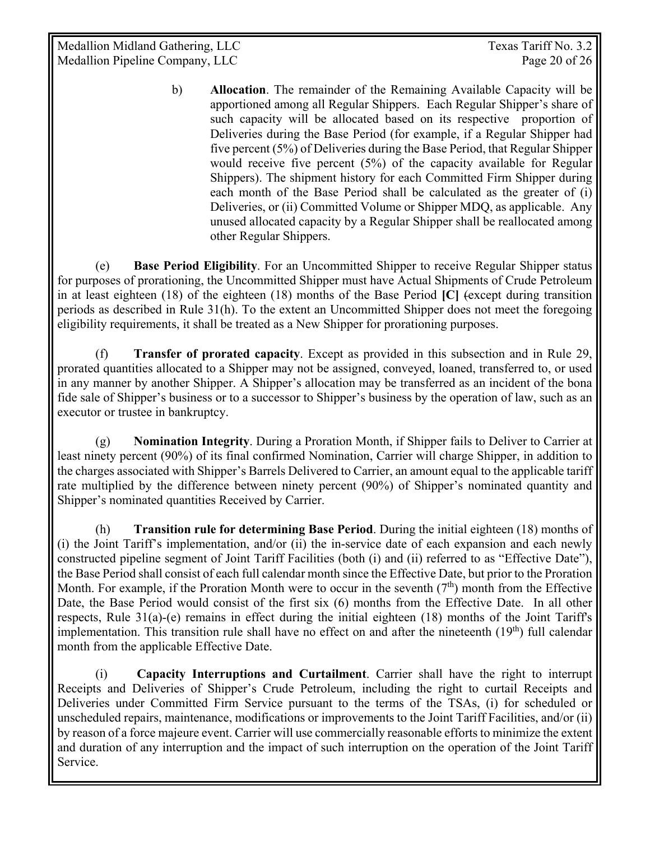Medallion Midland Gathering, LLC Texas Tariff No. 3.2 Medallion Pipeline Company, LLC Page 20 of 26

b) **Allocation**. The remainder of the Remaining Available Capacity will be apportioned among all Regular Shippers. Each Regular Shipper's share of such capacity will be allocated based on its respective proportion of Deliveries during the Base Period (for example, if a Regular Shipper had five percent (5%) of Deliveries during the Base Period, that Regular Shipper would receive five percent (5%) of the capacity available for Regular Shippers). The shipment history for each Committed Firm Shipper during each month of the Base Period shall be calculated as the greater of (i) Deliveries, or (ii) Committed Volume or Shipper MDQ, as applicable. Any unused allocated capacity by a Regular Shipper shall be reallocated among other Regular Shippers.

 (e) **Base Period Eligibility**. For an Uncommitted Shipper to receive Regular Shipper status for purposes of prorationing, the Uncommitted Shipper must have Actual Shipments of Crude Petroleum in at least eighteen (18) of the eighteen (18) months of the Base Period **[C]** (except during transition periods as described in Rule 31(h). To the extent an Uncommitted Shipper does not meet the foregoing eligibility requirements, it shall be treated as a New Shipper for prorationing purposes.

 (f) **Transfer of prorated capacity**. Except as provided in this subsection and in Rule 29, prorated quantities allocated to a Shipper may not be assigned, conveyed, loaned, transferred to, or used in any manner by another Shipper. A Shipper's allocation may be transferred as an incident of the bona fide sale of Shipper's business or to a successor to Shipper's business by the operation of law, such as an executor or trustee in bankruptcy.

 (g) **Nomination Integrity**. During a Proration Month, if Shipper fails to Deliver to Carrier at least ninety percent (90%) of its final confirmed Nomination, Carrier will charge Shipper, in addition to the charges associated with Shipper's Barrels Delivered to Carrier, an amount equal to the applicable tariff rate multiplied by the difference between ninety percent (90%) of Shipper's nominated quantity and Shipper's nominated quantities Received by Carrier.

(h) **Transition rule for determining Base Period**. During the initial eighteen (18) months of (i) the Joint Tariff's implementation, and/or (ii) the in-service date of each expansion and each newly constructed pipeline segment of Joint Tariff Facilities (both (i) and (ii) referred to as "Effective Date"), the Base Period shall consist of each full calendar month since the Effective Date, but prior to the Proration Month. For example, if the Proration Month were to occur in the seventh  $(7<sup>th</sup>)$  month from the Effective Date, the Base Period would consist of the first six (6) months from the Effective Date. In all other respects, Rule 31(a)-(e) remains in effect during the initial eighteen (18) months of the Joint Tariff's implementation. This transition rule shall have no effect on and after the nineteenth  $(19<sup>th</sup>)$  full calendar month from the applicable Effective Date.

(i) **Capacity Interruptions and Curtailment**. Carrier shall have the right to interrupt Receipts and Deliveries of Shipper's Crude Petroleum, including the right to curtail Receipts and Deliveries under Committed Firm Service pursuant to the terms of the TSAs, (i) for scheduled or unscheduled repairs, maintenance, modifications or improvements to the Joint Tariff Facilities, and/or (ii) by reason of a force majeure event. Carrier will use commercially reasonable efforts to minimize the extent and duration of any interruption and the impact of such interruption on the operation of the Joint Tariff Service.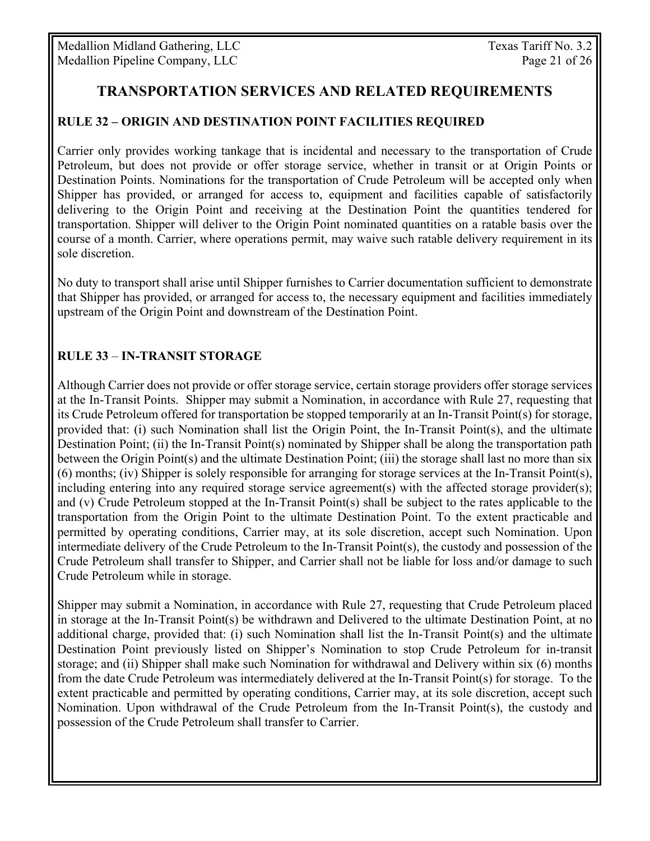# **TRANSPORTATION SERVICES AND RELATED REQUIREMENTS**

#### **RULE 32 – ORIGIN AND DESTINATION POINT FACILITIES REQUIRED**

Carrier only provides working tankage that is incidental and necessary to the transportation of Crude Petroleum, but does not provide or offer storage service, whether in transit or at Origin Points or Destination Points. Nominations for the transportation of Crude Petroleum will be accepted only when Shipper has provided, or arranged for access to, equipment and facilities capable of satisfactorily delivering to the Origin Point and receiving at the Destination Point the quantities tendered for transportation. Shipper will deliver to the Origin Point nominated quantities on a ratable basis over the course of a month. Carrier, where operations permit, may waive such ratable delivery requirement in its sole discretion.

No duty to transport shall arise until Shipper furnishes to Carrier documentation sufficient to demonstrate that Shipper has provided, or arranged for access to, the necessary equipment and facilities immediately upstream of the Origin Point and downstream of the Destination Point.

#### **RULE 33** – **IN-TRANSIT STORAGE**

Although Carrier does not provide or offer storage service, certain storage providers offer storage services at the In-Transit Points. Shipper may submit a Nomination, in accordance with Rule 27, requesting that its Crude Petroleum offered for transportation be stopped temporarily at an In-Transit Point(s) for storage, provided that: (i) such Nomination shall list the Origin Point, the In-Transit Point(s), and the ultimate Destination Point; (ii) the In-Transit Point(s) nominated by Shipper shall be along the transportation path between the Origin Point(s) and the ultimate Destination Point; (iii) the storage shall last no more than six (6) months; (iv) Shipper is solely responsible for arranging for storage services at the In-Transit Point(s), including entering into any required storage service agreement(s) with the affected storage provider(s); and (v) Crude Petroleum stopped at the In-Transit Point(s) shall be subject to the rates applicable to the transportation from the Origin Point to the ultimate Destination Point. To the extent practicable and permitted by operating conditions, Carrier may, at its sole discretion, accept such Nomination. Upon intermediate delivery of the Crude Petroleum to the In-Transit Point(s), the custody and possession of the Crude Petroleum shall transfer to Shipper, and Carrier shall not be liable for loss and/or damage to such Crude Petroleum while in storage.

Shipper may submit a Nomination, in accordance with Rule 27, requesting that Crude Petroleum placed in storage at the In-Transit Point(s) be withdrawn and Delivered to the ultimate Destination Point, at no additional charge, provided that: (i) such Nomination shall list the In-Transit Point(s) and the ultimate Destination Point previously listed on Shipper's Nomination to stop Crude Petroleum for in-transit storage; and (ii) Shipper shall make such Nomination for withdrawal and Delivery within six (6) months from the date Crude Petroleum was intermediately delivered at the In-Transit Point(s) for storage. To the extent practicable and permitted by operating conditions, Carrier may, at its sole discretion, accept such Nomination. Upon withdrawal of the Crude Petroleum from the In-Transit Point(s), the custody and possession of the Crude Petroleum shall transfer to Carrier.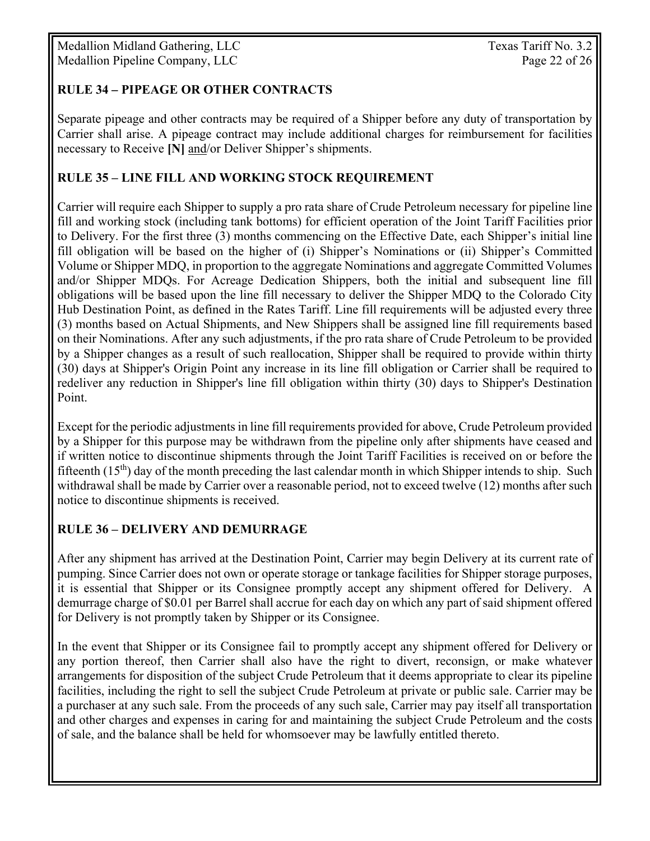Medallion Midland Gathering, LLC Texas Tariff No. 3.2 Medallion Pipeline Company, LLC Page 22 of 26

#### **RULE 34** *–* **PIPEAGE OR OTHER CONTRACTS**

Separate pipeage and other contracts may be required of a Shipper before any duty of transportation by Carrier shall arise. A pipeage contract may include additional charges for reimbursement for facilities necessary to Receive **[N]** and/or Deliver Shipper's shipments.

#### **RULE 35 – LINE FILL AND WORKING STOCK REQUIREMENT**

Carrier will require each Shipper to supply a pro rata share of Crude Petroleum necessary for pipeline line fill and working stock (including tank bottoms) for efficient operation of the Joint Tariff Facilities prior to Delivery. For the first three (3) months commencing on the Effective Date, each Shipper's initial line fill obligation will be based on the higher of (i) Shipper's Nominations or (ii) Shipper's Committed Volume or Shipper MDQ, in proportion to the aggregate Nominations and aggregate Committed Volumes and/or Shipper MDQs. For Acreage Dedication Shippers, both the initial and subsequent line fill obligations will be based upon the line fill necessary to deliver the Shipper MDQ to the Colorado City Hub Destination Point, as defined in the Rates Tariff. Line fill requirements will be adjusted every three (3) months based on Actual Shipments, and New Shippers shall be assigned line fill requirements based on their Nominations. After any such adjustments, if the pro rata share of Crude Petroleum to be provided by a Shipper changes as a result of such reallocation, Shipper shall be required to provide within thirty (30) days at Shipper's Origin Point any increase in its line fill obligation or Carrier shall be required to redeliver any reduction in Shipper's line fill obligation within thirty (30) days to Shipper's Destination Point.

Except for the periodic adjustments in line fill requirements provided for above, Crude Petroleum provided by a Shipper for this purpose may be withdrawn from the pipeline only after shipments have ceased and if written notice to discontinue shipments through the Joint Tariff Facilities is received on or before the fifteenth  $(15<sup>th</sup>)$  day of the month preceding the last calendar month in which Shipper intends to ship. Such withdrawal shall be made by Carrier over a reasonable period, not to exceed twelve (12) months after such notice to discontinue shipments is received.

#### **RULE 36 – DELIVERY AND DEMURRAGE**

After any shipment has arrived at the Destination Point, Carrier may begin Delivery at its current rate of pumping. Since Carrier does not own or operate storage or tankage facilities for Shipper storage purposes, it is essential that Shipper or its Consignee promptly accept any shipment offered for Delivery. A demurrage charge of \$0.01 per Barrel shall accrue for each day on which any part of said shipment offered for Delivery is not promptly taken by Shipper or its Consignee.

In the event that Shipper or its Consignee fail to promptly accept any shipment offered for Delivery or any portion thereof, then Carrier shall also have the right to divert, reconsign, or make whatever arrangements for disposition of the subject Crude Petroleum that it deems appropriate to clear its pipeline facilities, including the right to sell the subject Crude Petroleum at private or public sale. Carrier may be a purchaser at any such sale. From the proceeds of any such sale, Carrier may pay itself all transportation and other charges and expenses in caring for and maintaining the subject Crude Petroleum and the costs of sale, and the balance shall be held for whomsoever may be lawfully entitled thereto.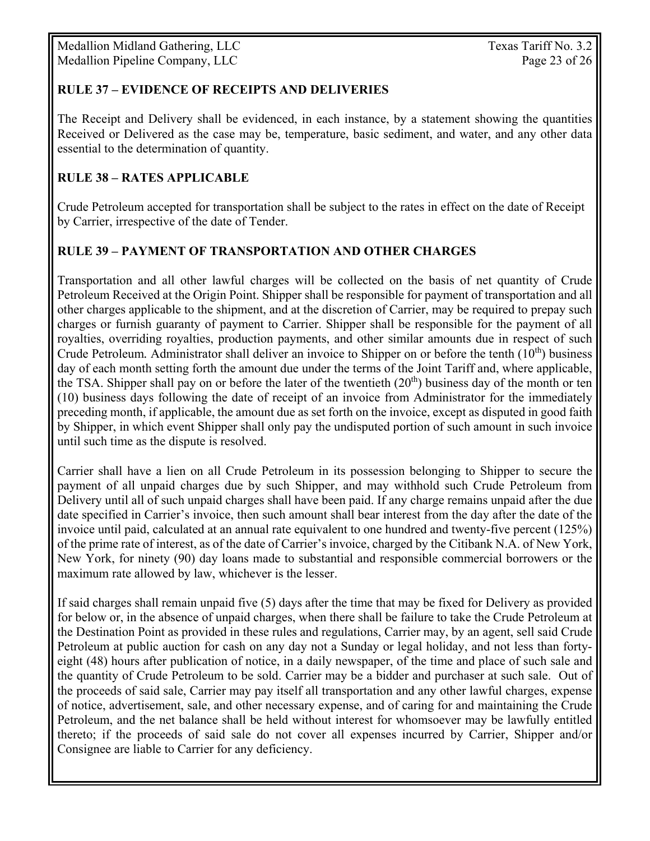#### **RULE 37 – EVIDENCE OF RECEIPTS AND DELIVERIES**

The Receipt and Delivery shall be evidenced, in each instance, by a statement showing the quantities Received or Delivered as the case may be, temperature, basic sediment, and water, and any other data essential to the determination of quantity.

#### **RULE 38 – RATES APPLICABLE**

Crude Petroleum accepted for transportation shall be subject to the rates in effect on the date of Receipt by Carrier, irrespective of the date of Tender.

#### **RULE 39 – PAYMENT OF TRANSPORTATION AND OTHER CHARGES**

Transportation and all other lawful charges will be collected on the basis of net quantity of Crude Petroleum Received at the Origin Point. Shipper shall be responsible for payment of transportation and all other charges applicable to the shipment, and at the discretion of Carrier, may be required to prepay such charges or furnish guaranty of payment to Carrier. Shipper shall be responsible for the payment of all royalties, overriding royalties, production payments, and other similar amounts due in respect of such Crude Petroleum. Administrator shall deliver an invoice to Shipper on or before the tenth (10<sup>th</sup>) business day of each month setting forth the amount due under the terms of the Joint Tariff and, where applicable, the TSA. Shipper shall pay on or before the later of the twentieth  $(20<sup>th</sup>)$  business day of the month or ten (10) business days following the date of receipt of an invoice from Administrator for the immediately preceding month, if applicable, the amount due as set forth on the invoice, except as disputed in good faith by Shipper, in which event Shipper shall only pay the undisputed portion of such amount in such invoice until such time as the dispute is resolved.

Carrier shall have a lien on all Crude Petroleum in its possession belonging to Shipper to secure the payment of all unpaid charges due by such Shipper, and may withhold such Crude Petroleum from Delivery until all of such unpaid charges shall have been paid. If any charge remains unpaid after the due date specified in Carrier's invoice, then such amount shall bear interest from the day after the date of the invoice until paid, calculated at an annual rate equivalent to one hundred and twenty-five percent (125%) of the prime rate of interest, as of the date of Carrier's invoice, charged by the Citibank N.A. of New York, New York, for ninety (90) day loans made to substantial and responsible commercial borrowers or the maximum rate allowed by law, whichever is the lesser.

If said charges shall remain unpaid five (5) days after the time that may be fixed for Delivery as provided for below or, in the absence of unpaid charges, when there shall be failure to take the Crude Petroleum at the Destination Point as provided in these rules and regulations, Carrier may, by an agent, sell said Crude Petroleum at public auction for cash on any day not a Sunday or legal holiday, and not less than fortyeight (48) hours after publication of notice, in a daily newspaper, of the time and place of such sale and the quantity of Crude Petroleum to be sold. Carrier may be a bidder and purchaser at such sale. Out of the proceeds of said sale, Carrier may pay itself all transportation and any other lawful charges, expense of notice, advertisement, sale, and other necessary expense, and of caring for and maintaining the Crude Petroleum, and the net balance shall be held without interest for whomsoever may be lawfully entitled thereto; if the proceeds of said sale do not cover all expenses incurred by Carrier, Shipper and/or Consignee are liable to Carrier for any deficiency.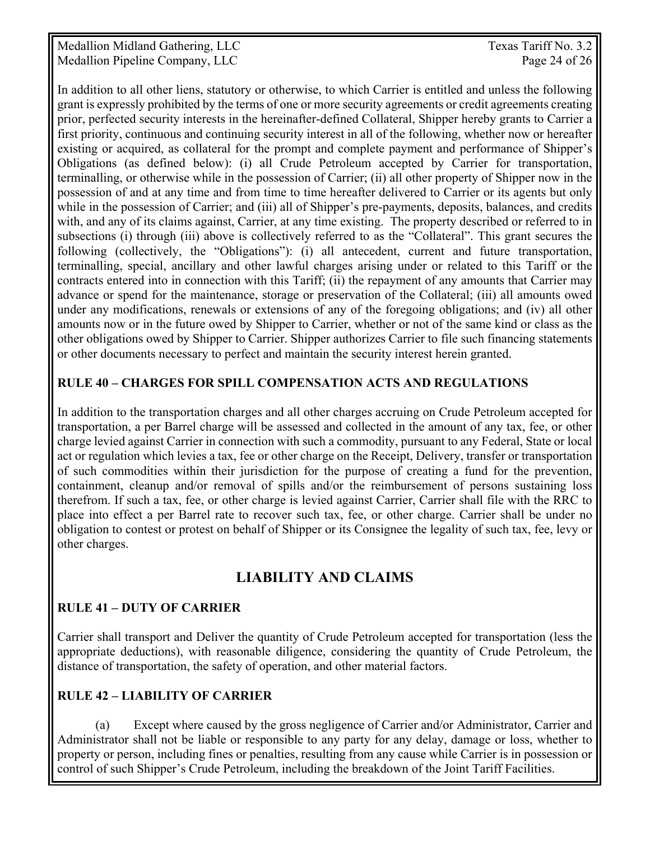Medallion Midland Gathering, LLC Texas Tariff No. 3.2 Medallion Pipeline Company, LLC Page 24 of 26

In addition to all other liens, statutory or otherwise, to which Carrier is entitled and unless the following grant is expressly prohibited by the terms of one or more security agreements or credit agreements creating prior, perfected security interests in the hereinafter-defined Collateral, Shipper hereby grants to Carrier a first priority, continuous and continuing security interest in all of the following, whether now or hereafter existing or acquired, as collateral for the prompt and complete payment and performance of Shipper's Obligations (as defined below): (i) all Crude Petroleum accepted by Carrier for transportation, terminalling, or otherwise while in the possession of Carrier; (ii) all other property of Shipper now in the possession of and at any time and from time to time hereafter delivered to Carrier or its agents but only while in the possession of Carrier; and (iii) all of Shipper's pre-payments, deposits, balances, and credits with, and any of its claims against, Carrier, at any time existing. The property described or referred to in subsections (i) through (iii) above is collectively referred to as the "Collateral". This grant secures the following (collectively, the "Obligations"): (i) all antecedent, current and future transportation, terminalling, special, ancillary and other lawful charges arising under or related to this Tariff or the contracts entered into in connection with this Tariff; (ii) the repayment of any amounts that Carrier may advance or spend for the maintenance, storage or preservation of the Collateral; (iii) all amounts owed under any modifications, renewals or extensions of any of the foregoing obligations; and (iv) all other amounts now or in the future owed by Shipper to Carrier, whether or not of the same kind or class as the other obligations owed by Shipper to Carrier. Shipper authorizes Carrier to file such financing statements or other documents necessary to perfect and maintain the security interest herein granted.

#### **RULE 40 – CHARGES FOR SPILL COMPENSATION ACTS AND REGULATIONS**

In addition to the transportation charges and all other charges accruing on Crude Petroleum accepted for transportation, a per Barrel charge will be assessed and collected in the amount of any tax, fee, or other charge levied against Carrier in connection with such a commodity, pursuant to any Federal, State or local act or regulation which levies a tax, fee or other charge on the Receipt, Delivery, transfer or transportation of such commodities within their jurisdiction for the purpose of creating a fund for the prevention, containment, cleanup and/or removal of spills and/or the reimbursement of persons sustaining loss therefrom. If such a tax, fee, or other charge is levied against Carrier, Carrier shall file with the RRC to place into effect a per Barrel rate to recover such tax, fee, or other charge. Carrier shall be under no obligation to contest or protest on behalf of Shipper or its Consignee the legality of such tax, fee, levy or other charges.

# **LIABILITY AND CLAIMS**

### **RULE 41 – DUTY OF CARRIER**

Carrier shall transport and Deliver the quantity of Crude Petroleum accepted for transportation (less the appropriate deductions), with reasonable diligence, considering the quantity of Crude Petroleum, the distance of transportation, the safety of operation, and other material factors.

### **RULE 42 – LIABILITY OF CARRIER**

 (a) Except where caused by the gross negligence of Carrier and/or Administrator, Carrier and Administrator shall not be liable or responsible to any party for any delay, damage or loss, whether to property or person, including fines or penalties, resulting from any cause while Carrier is in possession or control of such Shipper's Crude Petroleum, including the breakdown of the Joint Tariff Facilities.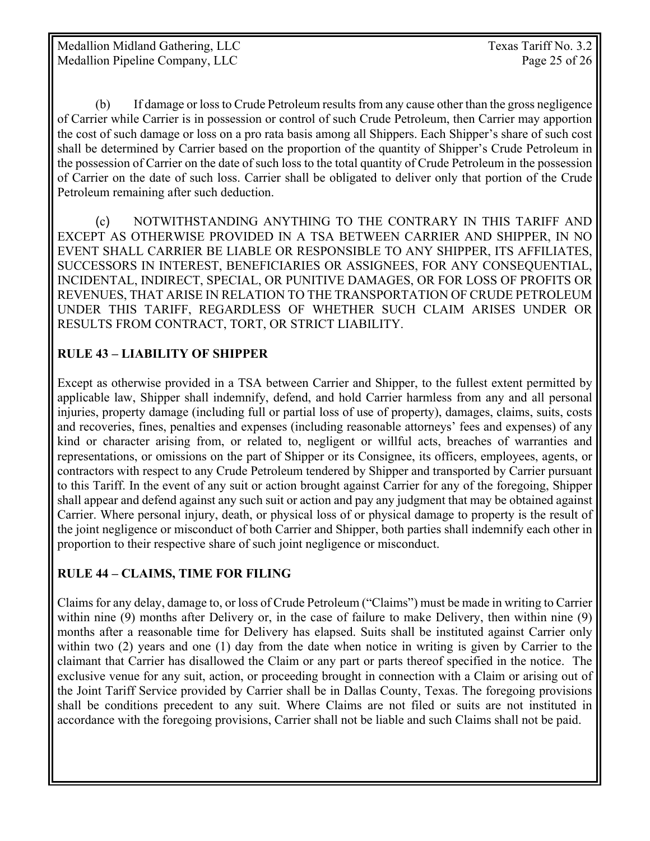(b) If damage or loss to Crude Petroleum results from any cause other than the gross negligence of Carrier while Carrier is in possession or control of such Crude Petroleum, then Carrier may apportion the cost of such damage or loss on a pro rata basis among all Shippers. Each Shipper's share of such cost shall be determined by Carrier based on the proportion of the quantity of Shipper's Crude Petroleum in the possession of Carrier on the date of such loss to the total quantity of Crude Petroleum in the possession of Carrier on the date of such loss. Carrier shall be obligated to deliver only that portion of the Crude Petroleum remaining after such deduction.

 (c) NOTWITHSTANDING ANYTHING TO THE CONTRARY IN THIS TARIFF AND EXCEPT AS OTHERWISE PROVIDED IN A TSA BETWEEN CARRIER AND SHIPPER, IN NO EVENT SHALL CARRIER BE LIABLE OR RESPONSIBLE TO ANY SHIPPER, ITS AFFILIATES, SUCCESSORS IN INTEREST, BENEFICIARIES OR ASSIGNEES, FOR ANY CONSEQUENTIAL, INCIDENTAL, INDIRECT, SPECIAL, OR PUNITIVE DAMAGES, OR FOR LOSS OF PROFITS OR REVENUES, THAT ARISE IN RELATION TO THE TRANSPORTATION OF CRUDE PETROLEUM UNDER THIS TARIFF, REGARDLESS OF WHETHER SUCH CLAIM ARISES UNDER OR RESULTS FROM CONTRACT, TORT, OR STRICT LIABILITY.

### **RULE 43 – LIABILITY OF SHIPPER**

Except as otherwise provided in a TSA between Carrier and Shipper, to the fullest extent permitted by applicable law, Shipper shall indemnify, defend, and hold Carrier harmless from any and all personal injuries, property damage (including full or partial loss of use of property), damages, claims, suits, costs and recoveries, fines, penalties and expenses (including reasonable attorneys' fees and expenses) of any kind or character arising from, or related to, negligent or willful acts, breaches of warranties and representations, or omissions on the part of Shipper or its Consignee, its officers, employees, agents, or contractors with respect to any Crude Petroleum tendered by Shipper and transported by Carrier pursuant to this Tariff. In the event of any suit or action brought against Carrier for any of the foregoing, Shipper shall appear and defend against any such suit or action and pay any judgment that may be obtained against Carrier. Where personal injury, death, or physical loss of or physical damage to property is the result of the joint negligence or misconduct of both Carrier and Shipper, both parties shall indemnify each other in proportion to their respective share of such joint negligence or misconduct.

# **RULE 44 – CLAIMS, TIME FOR FILING**

Claims for any delay, damage to, or loss of Crude Petroleum ("Claims") must be made in writing to Carrier within nine (9) months after Delivery or, in the case of failure to make Delivery, then within nine (9) months after a reasonable time for Delivery has elapsed. Suits shall be instituted against Carrier only within two (2) years and one (1) day from the date when notice in writing is given by Carrier to the claimant that Carrier has disallowed the Claim or any part or parts thereof specified in the notice. The exclusive venue for any suit, action, or proceeding brought in connection with a Claim or arising out of the Joint Tariff Service provided by Carrier shall be in Dallas County, Texas. The foregoing provisions shall be conditions precedent to any suit. Where Claims are not filed or suits are not instituted in accordance with the foregoing provisions, Carrier shall not be liable and such Claims shall not be paid.